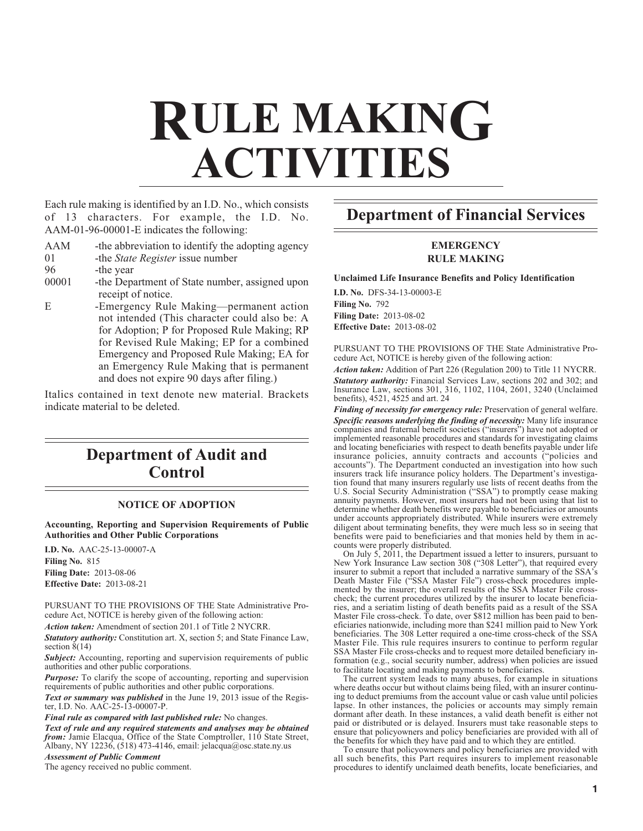# **RULE MAKING ACTIVITIES**

Each rule making is identified by an I.D. No., which consists of 13 characters. For example, the I.D. No. AAM-01-96-00001-E indicates the following:

- AAM -the abbreviation to identify the adopting agency
- 01 -the *State Register* issue number
- 96 -the year
- 00001 the Department of State number, assigned upon receipt of notice.
- E -Emergency Rule Making—permanent action not intended (This character could also be: A for Adoption; P for Proposed Rule Making; RP for Revised Rule Making; EP for a combined Emergency and Proposed Rule Making; EA for an Emergency Rule Making that is permanent and does not expire 90 days after filing.)

Italics contained in text denote new material. Brackets indicate material to be deleted.

# **Department of Audit and Control**

## **NOTICE OF ADOPTION**

**Accounting, Reporting and Supervision Requirements of Public Authorities and Other Public Corporations**

**I.D. No.** AAC-25-13-00007-A **Filing No.** 815 **Filing Date:** 2013-08-06 **Effective Date:** 2013-08-21

PURSUANT TO THE PROVISIONS OF THE State Administrative Procedure Act, NOTICE is hereby given of the following action:

*Action taken:* Amendment of section 201.1 of Title 2 NYCRR.

*Statutory authority:* Constitution art. X, section 5; and State Finance Law, section  $8(14)$ 

**Subject:** Accounting, reporting and supervision requirements of public authorities and other public corporations.

*Purpose:* To clarify the scope of accounting, reporting and supervision requirements of public authorities and other public corporations.

*Text or summary was published* in the June 19, 2013 issue of the Register, I.D. No. AAC-25-13-00007-P.

#### *Final rule as compared with last published rule:* No changes.

*Text of rule and any required statements and analyses may be obtained from:* Jamie Elacqua, Office of the State Comptroller, 110 State Street, Albany, NY 12236, (518) 473-4146, email: jelacqua@osc.state.ny.us

*Assessment of Public Comment*

The agency received no public comment.

# **Department of Financial Services**

# **EMERGENCY RULE MAKING**

## **Unclaimed Life Insurance Benefits and Policy Identification**

**I.D. No.** DFS-34-13-00003-E **Filing No.** 792 **Filing Date:** 2013-08-02 **Effective Date:** 2013-08-02

PURSUANT TO THE PROVISIONS OF THE State Administrative Procedure Act, NOTICE is hereby given of the following action:

*Action taken:* Addition of Part 226 (Regulation 200) to Title 11 NYCRR. *Statutory authority:* Financial Services Law, sections 202 and 302; and Insurance Law, sections 301, 316, 1102, 1104, 2601, 3240 (Unclaimed benefits), 4521, 4525 and art. 24

*Finding of necessity for emergency rule:* Preservation of general welfare. *Specific reasons underlying the finding of necessity:* Many life insurance companies and fraternal benefit societies ("insurers") have not adopted or implemented reasonable procedures and standards for investigating claims and locating beneficiaries with respect to death benefits payable under life insurance policies, annuity contracts and accounts ("policies and accounts"). The Department conducted an investigation into how such insurers track life insurance policy holders. The Department's investigation found that many insurers regularly use lists of recent deaths from the U.S. Social Security Administration ("SSA") to promptly cease making annuity payments. However, most insurers had not been using that list to determine whether death benefits were payable to beneficiaries or amounts under accounts appropriately distributed. While insurers were extremely diligent about terminating benefits, they were much less so in seeing that benefits were paid to beneficiaries and that monies held by them in accounts were properly distributed.

On July 5, 2011, the Department issued a letter to insurers, pursuant to New York Insurance Law section 308 ("308 Letter"), that required every insurer to submit a report that included a narrative summary of the SSA's Death Master File ("SSA Master File") cross-check procedures implemented by the insurer; the overall results of the SSA Master File crosscheck; the current procedures utilized by the insurer to locate beneficiaries, and a seriatim listing of death benefits paid as a result of the SSA Master File cross-check. To date, over \$812 million has been paid to beneficiaries nationwide, including more than \$241 million paid to New York beneficiaries. The 308 Letter required a one-time cross-check of the SSA Master File. This rule requires insurers to continue to perform regular SSA Master File cross-checks and to request more detailed beneficiary information (e.g., social security number, address) when policies are issued to facilitate locating and making payments to beneficiaries.

The current system leads to many abuses, for example in situations where deaths occur but without claims being filed, with an insurer continuing to deduct premiums from the account value or cash value until policies lapse. In other instances, the policies or accounts may simply remain dormant after death. In these instances, a valid death benefit is either not paid or distributed or is delayed. Insurers must take reasonable steps to ensure that policyowners and policy beneficiaries are provided with all of the benefits for which they have paid and to which they are entitled.

To ensure that policyowners and policy beneficiaries are provided with all such benefits, this Part requires insurers to implement reasonable procedures to identify unclaimed death benefits, locate beneficiaries, and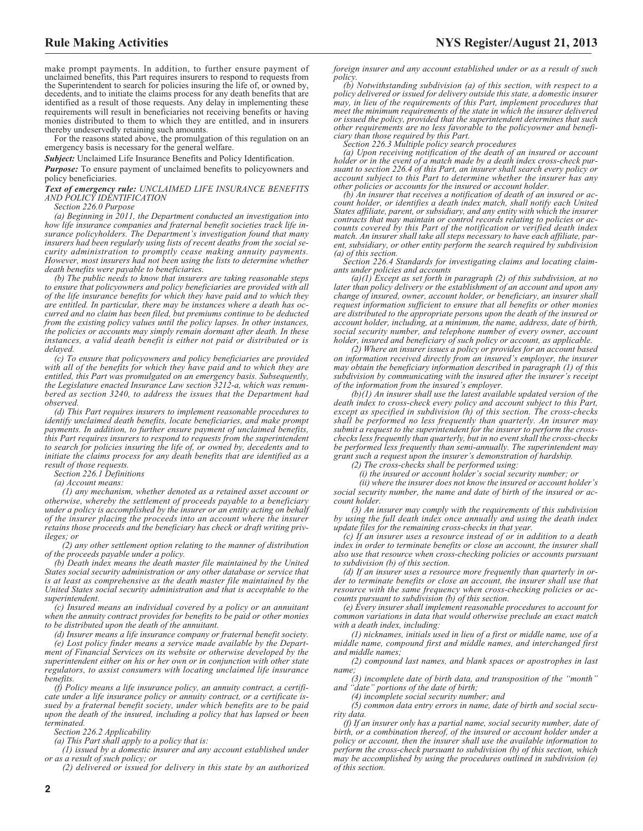make prompt payments. In addition, to further ensure payment of unclaimed benefits, this Part requires insurers to respond to requests from the Superintendent to search for policies insuring the life of, or owned by, decedents, and to initiate the claims process for any death benefits that are identified as a result of those requests. Any delay in implementing these requirements will result in beneficiaries not receiving benefits or having monies distributed to them to which they are entitled, and in insurers thereby undeservedly retaining such amounts.

For the reasons stated above, the promulgation of this regulation on an emergency basis is necessary for the general welfare.

*Subject:* Unclaimed Life Insurance Benefits and Policy Identification.

*Purpose:* To ensure payment of unclaimed benefits to policyowners and policy beneficiaries.

*Text of emergency rule: UNCLAIMED LIFE INSURANCE BENEFITS AND POLICY IDENTIFICATION*

*Section 226.0 Purpose*

*(a) Beginning in 2011, the Department conducted an investigation into how life insurance companies and fraternal benefit societies track life insurance policyholders. The Department's investigation found that many insurers had been regularly using lists of recent deaths from the social security administration to promptly cease making annuity payments. However, most insurers had not been using the lists to determine whether death benefits were payable to beneficiaries.*

*(b) The public needs to know that insurers are taking reasonable steps to ensure that policyowners and policy beneficiaries are provided with all of the life insurance benefits for which they have paid and to which they are entitled. In particular, there may be instances where a death has occurred and no claim has been filed, but premiums continue to be deducted from the existing policy values until the policy lapses. In other instances, the policies or accounts may simply remain dormant after death. In these instances, a valid death benefit is either not paid or distributed or is delayed.*

*(c) To ensure that policyowners and policy beneficiaries are provided with all of the benefits for which they have paid and to which they are entitled, this Part was promulgated on an emergency basis. Subsequently, the Legislature enacted Insurance Law section 3212-a, which was renumbered as section 3240, to address the issues that the Department had observed.*

*(d) This Part requires insurers to implement reasonable procedures to identify unclaimed death benefits, locate beneficiaries, and make prompt payments. In addition, to further ensure payment of unclaimed benefits, this Part requires insurers to respond to requests from the superintendent to search for policies insuring the life of, or owned by, decedents and to initiate the claims process for any death benefits that are identified as a result of those requests.*

*Section 226.1 Definitions*

*(a) Account means:*

*(1) any mechanism, whether denoted as a retained asset account or otherwise, whereby the settlement of proceeds payable to a beneficiary under a policy is accomplished by the insurer or an entity acting on behalf of the insurer placing the proceeds into an account where the insurer retains those proceeds and the beneficiary has check or draft writing privileges; or*

*(2) any other settlement option relating to the manner of distribution of the proceeds payable under a policy.*

*(b) Death index means the death master file maintained by the United States social security administration or any other database or service that is at least as comprehensive as the death master file maintained by the United States social security administration and that is acceptable to the superintendent.*

*(c) Insured means an individual covered by a policy or an annuitant when the annuity contract provides for benefits to be paid or other monies to be distributed upon the death of the annuitant.*

*(d) Insurer means a life insurance company or fraternal benefit society.*

*(e) Lost policy finder means a service made available by the Department of Financial Services on its website or otherwise developed by the superintendent either on his or her own or in conjunction with other state regulators, to assist consumers with locating unclaimed life insurance benefits.*

*(f) Policy means a life insurance policy, an annuity contract, a certificate under a life insurance policy or annuity contract, or a certificate issued by a fraternal benefit society, under which benefits are to be paid upon the death of the insured, including a policy that has lapsed or been terminated.*

*Section 226.2 Applicability*

*(a) This Part shall apply to a policy that is:*

*(1) issued by a domestic insurer and any account established under or as a result of such policy; or*

*(2) delivered or issued for delivery in this state by an authorized*

*foreign insurer and any account established under or as a result of such policy.*

*(b) Notwithstanding subdivision (a) of this section, with respect to a policy delivered or issued for delivery outside this state, a domestic insurer may, in lieu of the requirements of this Part, implement procedures that meet the minimum requirements of the state in which the insurer delivered or issued the policy, provided that the superintendent determines that such other requirements are no less favorable to the policyowner and beneficiary than those required by this Part.*

*Section 226.3 Multiple policy search procedures*

*(a) Upon receiving notification of the death of an insured or account holder or in the event of a match made by a death index cross-check pursuant to section 226.4 of this Part, an insurer shall search every policy or account subject to this Part to determine whether the insurer has any other policies or accounts for the insured or account holder.*

*(b) An insurer that receives a notification of death of an insured or ac-count holder, or identifies a death index match, shall notify each United States affiliate, parent, or subsidiary, and any entity with which the insurer contracts that may maintain or control records relating to policies or accounts covered by this Part of the notification or verified death index match. An insurer shall take all steps necessary to have each affiliate, parent, subsidiary, or other entity perform the search required by subdivision (a) of this section.*

*Section 226.4 Standards for investigating claims and locating claimants under policies and accounts*

*(a)(1) Except as set forth in paragraph (2) of this subdivision, at no later than policy delivery or the establishment of an account and upon any change of insured, owner, account holder, or beneficiary, an insurer shall request information sufficient to ensure that all benefits or other monies are distributed to the appropriate persons upon the death of the insured or account holder, including, at a minimum, the name, address, date of birth, social security number, and telephone number of every owner, account holder, insured and beneficiary of such policy or account, as applicable.*

*(2) Where an insurer issues a policy or provides for an account based on information received directly from an insured's employer, the insurer may obtain the beneficiary information described in paragraph (1) of this subdivision by communicating with the insured after the insurer's receipt of the information from the insured's employer.*

*(b)(1) An insurer shall use the latest available updated version of the death index to cross-check every policy and account subject to this Part, except as specified in subdivision (h) of this section. The cross-checks shall be performed no less frequently than quarterly. An insurer may submit a request to the superintendent for the insurer to perform the crosschecks less frequently than quarterly, but in no event shall the cross-checks be performed less frequently than semi-annually. The superintendent may grant such a request upon the insurer's demonstration of hardship.*

*(2) The cross-checks shall be performed using:*

*(i) the insured or account holder's social security number; or*

*(ii) where the insurer does not know the insured or account holder's social security number, the name and date of birth of the insured or account holder.*

*(3) An insurer may comply with the requirements of this subdivision by using the full death index once annually and using the death index update files for the remaining cross-checks in that year.*

*(c) If an insurer uses a resource instead of or in addition to a death index in order to terminate benefits or close an account, the insurer shall also use that resource when cross-checking policies or accounts pursuant to subdivision (b) of this section.*

*(d) If an insurer uses a resource more frequently than quarterly in order to terminate benefits or close an account, the insurer shall use that resource with the same frequency when cross-checking policies or accounts pursuant to subdivision (b) of this section.*

*(e) Every insurer shall implement reasonable procedures to account for common variations in data that would otherwise preclude an exact match with a death index, including:*

*(1) nicknames, initials used in lieu of a first or middle name, use of a middle name, compound first and middle names, and interchanged first and middle names;*

*(2) compound last names, and blank spaces or apostrophes in last name;*

*(3) incomplete date of birth data, and transposition of the "month" and "date" portions of the date of birth;*

*(4) incomplete social security number; and*

*(5) common data entry errors in name, date of birth and social security data.*

*(f) If an insurer only has a partial name, social security number, date of birth, or a combination thereof, of the insured or account holder under a policy or account, then the insurer shall use the available information to perform the cross-check pursuant to subdivision (b) of this section, which may be accomplished by using the procedures outlined in subdivision (e) of this section.*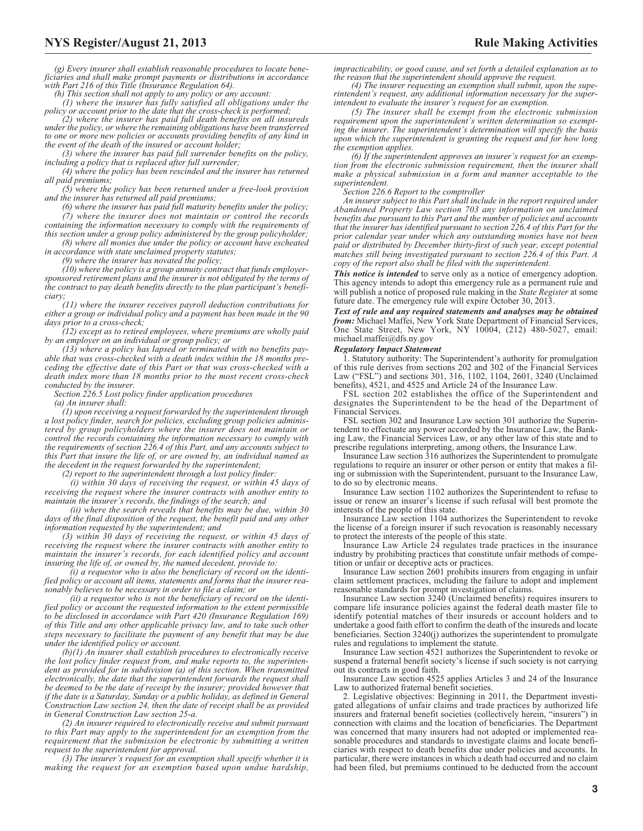*(g) Every insurer shall establish reasonable procedures to locate beneficiaries and shall make prompt payments or distributions in accordance with Part 216 of this Title (Insurance Regulation 64).*

*(h) This section shall not apply to any policy or any account:*

*(1) where the insurer has fully satisfied all obligations under the policy or account prior to the date that the cross-check is performed;*

*(2) where the insurer has paid full death benefits on all insureds under the policy, or where the remaining obligations have been transferred to one or more new policies or accounts providing benefits of any kind in the event of the death of the insured or account holder;*

*(3) where the insurer has paid full surrender benefits on the policy, including a policy that is replaced after full surrender;*

*(4) where the policy has been rescinded and the insurer has returned all paid premiums;*

*(5) where the policy has been returned under a free-look provision and the insurer has returned all paid premiums;*

*(6) where the insurer has paid full maturity benefits under the policy; (7) where the insurer does not maintain or control the records*

*containing the information necessary to comply with the requirements of this section under a group policy administered by the group policyholder;*

*(8) where all monies due under the policy or account have escheated in accordance with state unclaimed property statutes;*

*(9) where the insurer has novated the policy;*

*(10) where the policy is a group annuity contract that funds employersponsored retirement plans and the insurer is not obligated by the terms of the contract to pay death benefits directly to the plan participant's beneficiary;*

*(11) where the insurer receives payroll deduction contributions for either a group or individual policy and a payment has been made in the 90 days prior to a cross-check;*

*(12) except as to retired employees, where premiums are wholly paid by an employer on an individual or group policy; or*

*(13) where a policy has lapsed or terminated with no benefits payable that was cross-checked with a death index within the 18 months preceding the effective date of this Part or that was cross-checked with a death index more than 18 months prior to the most recent cross-check conducted by the insurer.*

*Section 226.5 Lost policy finder application procedures*

*(a) An insurer shall:*

*(1) upon receiving a request forwarded by the superintendent through a lost policy finder, search for policies, excluding group policies administered by group policyholders where the insurer does not maintain or control the records containing the information necessary to comply with the requirements of section 226.4 of this Part, and any accounts subject to this Part that insure the life of, or are owned by, an individual named as the decedent in the request forwarded by the superintendent;*

*(2) report to the superintendent through a lost policy finder:*

*(i) within 30 days of receiving the request, or within 45 days of receiving the request where the insurer contracts with another entity to maintain the insurer's records, the findings of the search; and*

*(ii) where the search reveals that benefits may be due, within 30 days of the final disposition of the request, the benefit paid and any other information requested by the superintendent; and*

*(3) within 30 days of receiving the request, or within 45 days of receiving the request where the insurer contracts with another entity to maintain the insurer's records, for each identified policy and account insuring the life of, or owned by, the named decedent, provide to:*

*(i) a requestor who is also the beneficiary of record on the identified policy or account all items, statements and forms that the insurer reasonably believes to be necessary in order to file a claim; or*

*(ii) a requestor who is not the beneficiary of record on the identified policy or account the requested information to the extent permissible to be disclosed in accordance with Part 420 (Insurance Regulation 169) of this Title and any other applicable privacy law, and to take such other steps necessary to facilitate the payment of any benefit that may be due under the identified policy or account.*

*(b)(1) An insurer shall establish procedures to electronically receive the lost policy finder request from, and make reports to, the superintendent as provided for in subdivision (a) of this section. When transmitted electronically, the date that the superintendent forwards the request shall be deemed to be the date of receipt by the insurer; provided however that if the date is a Saturday, Sunday or a public holiday, as defined in General Construction Law section 24, then the date of receipt shall be as provided in General Construction Law section 25-a.*

*(2) An insurer required to electronically receive and submit pursuant to this Part may apply to the superintendent for an exemption from the requirement that the submission be electronic by submitting a written request to the superintendent for approval.*

*(3) The insurer's request for an exemption shall specify whether it is making the request for an exemption based upon undue hardship,*

*impracticability, or good cause, and set forth a detailed explanation as to the reason that the superintendent should approve the request.*

*(4) The insurer requesting an exemption shall submit, upon the superintendent's request, any additional information necessary for the superintendent to evaluate the insurer's request for an exemption.*

*(5) The insurer shall be exempt from the electronic submission requirement upon the superintendent's written determination so exempting the insurer. The superintendent's determination will specify the basis upon which the superintendent is granting the request and for how long the exemption applies.*

*(6) If the superintendent approves an insurer's request for an exemption from the electronic submission requirement, then the insurer shall make a physical submission in a form and manner acceptable to the superintendent.*

*Section 226.6 Report to the comptroller*

*An insurer subject to this Part shall include in the report required under Abandoned Property Law section 703 any information on unclaimed benefits due pursuant to this Part and the number of policies and accounts that the insurer has identified pursuant to section 226.4 of this Part for the prior calendar year under which any outstanding monies have not been paid or distributed by December thirty-first of such year, except potential matches still being investigated pursuant to section 226.4 of this Part. A copy of the report also shall be filed with the superintendent.*

*This notice is intended* to serve only as a notice of emergency adoption. This agency intends to adopt this emergency rule as a permanent rule and will publish a notice of proposed rule making in the *State Register* at some future date. The emergency rule will expire October 30, 2013.

*Text of rule and any required statements and analyses may be obtained from:* Michael Maffei, New York State Department of Financial Services, One State Street, New York, NY 10004, (212) 480-5027, email: michael.maffei@dfs.ny.gov

#### *Regulatory Impact Statement*

1. Statutory authority: The Superintendent's authority for promulgation of this rule derives from sections 202 and 302 of the Financial Services Law ("FSL") and sections 301, 316, 1102, 1104, 2601, 3240 (Unclaimed benefits), 4521, and 4525 and Article 24 of the Insurance Law.

FSL section 202 establishes the office of the Superintendent and designates the Superintendent to be the head of the Department of Financial Services.

FSL section 302 and Insurance Law section 301 authorize the Superintendent to effectuate any power accorded by the Insurance Law, the Banking Law, the Financial Services Law, or any other law of this state and to prescribe regulations interpreting, among others, the Insurance Law.

Insurance Law section 316 authorizes the Superintendent to promulgate regulations to require an insurer or other person or entity that makes a filing or submission with the Superintendent, pursuant to the Insurance Law, to do so by electronic means.

Insurance Law section 1102 authorizes the Superintendent to refuse to issue or renew an insurer's license if such refusal will best promote the interests of the people of this state.

Insurance Law section 1104 authorizes the Superintendent to revoke the license of a foreign insurer if such revocation is reasonably necessary to protect the interests of the people of this state.

Insurance Law Article 24 regulates trade practices in the insurance industry by prohibiting practices that constitute unfair methods of competition or unfair or deceptive acts or practices.

Insurance Law section 2601 prohibits insurers from engaging in unfair claim settlement practices, including the failure to adopt and implement reasonable standards for prompt investigation of claims.

Insurance Law section 3240 (Unclaimed benefits) requires insurers to compare life insurance policies against the federal death master file to identify potential matches of their insureds or account holders and to undertake a good faith effort to confirm the death of the insureds and locate beneficiaries. Section 3240(j) authorizes the superintendent to promulgate rules and regulations to implement the statute.

Insurance Law section 4521 authorizes the Superintendent to revoke or suspend a fraternal benefit society's license if such society is not carrying out its contracts in good faith.

Insurance Law section 4525 applies Articles 3 and 24 of the Insurance Law to authorized fraternal benefit societies.

2. Legislative objectives: Beginning in 2011, the Department investigated allegations of unfair claims and trade practices by authorized life insurers and fraternal benefit societies (collectively herein, "insurers") in connection with claims and the location of beneficiaries. The Department was concerned that many insurers had not adopted or implemented reasonable procedures and standards to investigate claims and locate beneficiaries with respect to death benefits due under policies and accounts. In particular, there were instances in which a death had occurred and no claim had been filed, but premiums continued to be deducted from the account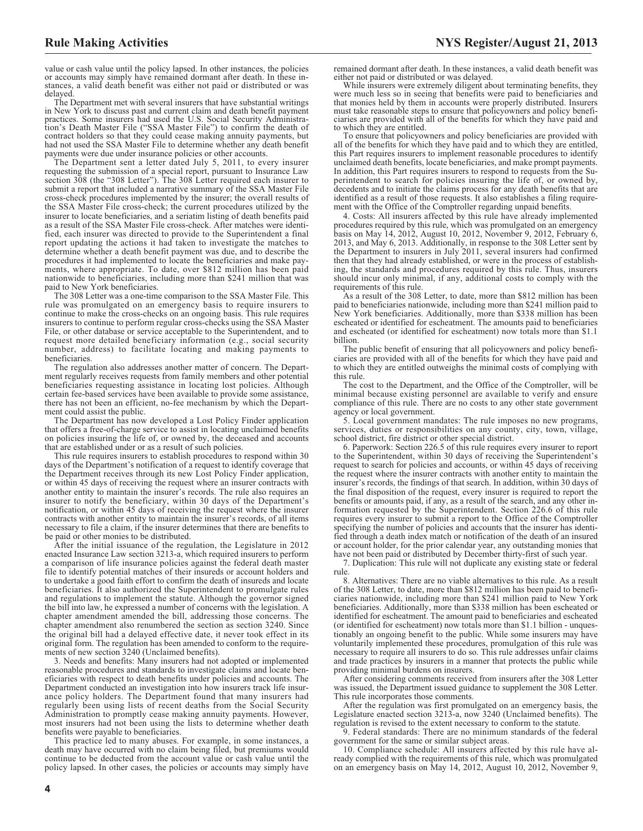value or cash value until the policy lapsed. In other instances, the policies or accounts may simply have remained dormant after death. In these in-stances, a valid death benefit was either not paid or distributed or was delayed.

The Department met with several insurers that have substantial writings in New York to discuss past and current claim and death benefit payment practices. Some insurers had used the U.S. Social Security Administration's Death Master File ("SSA Master File") to confirm the death of contract holders so that they could cease making annuity payments, but had not used the SSA Master File to determine whether any death benefit payments were due under insurance policies or other accounts.

The Department sent a letter dated July 5, 2011, to every insurer requesting the submission of a special report, pursuant to Insurance Law section 308 (the "308 Letter"). The 308 Letter required each insurer to submit a report that included a narrative summary of the SSA Master File cross-check procedures implemented by the insurer; the overall results of the SSA Master File cross-check; the current procedures utilized by the insurer to locate beneficiaries, and a seriatim listing of death benefits paid as a result of the SSA Master File cross-check. After matches were identified, each insurer was directed to provide to the Superintendent a final report updating the actions it had taken to investigate the matches to determine whether a death benefit payment was due, and to describe the procedures it had implemented to locate the beneficiaries and make payments, where appropriate. To date, over \$812 million has been paid nationwide to beneficiaries, including more than \$241 million that was paid to New York beneficiaries.

The 308 Letter was a one-time comparison to the SSA Master File. This rule was promulgated on an emergency basis to require insurers to continue to make the cross-checks on an ongoing basis. This rule requires insurers to continue to perform regular cross-checks using the SSA Master File, or other database or service acceptable to the Superintendent, and to request more detailed beneficiary information (e.g., social security number, address) to facilitate locating and making payments to beneficiaries.

The regulation also addresses another matter of concern. The Department regularly receives requests from family members and other potential beneficiaries requesting assistance in locating lost policies. Although certain fee-based services have been available to provide some assistance, there has not been an efficient, no-fee mechanism by which the Department could assist the public.

The Department has now developed a Lost Policy Finder application that offers a free-of-charge service to assist in locating unclaimed benefits on policies insuring the life of, or owned by, the deceased and accounts that are established under or as a result of such policies.

This rule requires insurers to establish procedures to respond within 30 days of the Department's notification of a request to identify coverage that the Department receives through its new Lost Policy Finder application, or within 45 days of receiving the request where an insurer contracts with another entity to maintain the insurer's records. The rule also requires an insurer to notify the beneficiary, within 30 days of the Department's notification, or within 45 days of receiving the request where the insurer contracts with another entity to maintain the insurer's records, of all items necessary to file a claim, if the insurer determines that there are benefits to be paid or other monies to be distributed.

After the initial issuance of the regulation, the Legislature in 2012 enacted Insurance Law section 3213-a, which required insurers to perform a comparison of life insurance policies against the federal death master file to identify potential matches of their insureds or account holders and to undertake a good faith effort to confirm the death of insureds and locate beneficiaries. It also authorized the Superintendent to promulgate rules and regulations to implement the statute. Although the governor signed the bill into law, he expressed a number of concerns with the legislation. A chapter amendment amended the bill, addressing those concerns. The chapter amendment also renumbered the section as section 3240. Since the original bill had a delayed effective date, it never took effect in its original form. The regulation has been amended to conform to the requirements of new section 3240 (Unclaimed benefits).

3. Needs and benefits: Many insurers had not adopted or implemented reasonable procedures and standards to investigate claims and locate beneficiaries with respect to death benefits under policies and accounts. The Department conducted an investigation into how insurers track life insurance policy holders. The Department found that many insurers had regularly been using lists of recent deaths from the Social Security Administration to promptly cease making annuity payments. However, most insurers had not been using the lists to determine whether death benefits were payable to beneficiaries.

This practice led to many abuses. For example, in some instances, a death may have occurred with no claim being filed, but premiums would continue to be deducted from the account value or cash value until the policy lapsed. In other cases, the policies or accounts may simply have

While insurers were extremely diligent about terminating benefits, they were much less so in seeing that benefits were paid to beneficiaries and that monies held by them in accounts were properly distributed. Insurers must take reasonable steps to ensure that policyowners and policy beneficiaries are provided with all of the benefits for which they have paid and to which they are entitled.

To ensure that policyowners and policy beneficiaries are provided with all of the benefits for which they have paid and to which they are entitled, this Part requires insurers to implement reasonable procedures to identify unclaimed death benefits, locate beneficiaries, and make prompt payments. In addition, this Part requires insurers to respond to requests from the Superintendent to search for policies insuring the life of, or owned by, decedents and to initiate the claims process for any death benefits that are identified as a result of those requests. It also establishes a filing requirement with the Office of the Comptroller regarding unpaid benefits.

4. Costs: All insurers affected by this rule have already implemented procedures required by this rule, which was promulgated on an emergency basis on May 14, 2012, August 10, 2012, November 9, 2012, February 6, 2013, and May 6, 2013. Additionally, in response to the 308 Letter sent by the Department to insurers in July 2011, several insurers had confirmed then that they had already established, or were in the process of establishing, the standards and procedures required by this rule. Thus, insurers should incur only minimal, if any, additional costs to comply with the requirements of this rule.

As a result of the 308 Letter, to date, more than \$812 million has been paid to beneficiaries nationwide, including more than \$241 million paid to New York beneficiaries. Additionally, more than \$338 million has been escheated or identified for escheatment. The amounts paid to beneficiaries and escheated (or identified for escheatment) now totals more than \$1.1 billion.

The public benefit of ensuring that all policyowners and policy beneficiaries are provided with all of the benefits for which they have paid and to which they are entitled outweighs the minimal costs of complying with this rule.

The cost to the Department, and the Office of the Comptroller, will be minimal because existing personnel are available to verify and ensure compliance of this rule. There are no costs to any other state government agency or local government.

5. Local government mandates: The rule imposes no new programs, services, duties or responsibilities on any county, city, town, village, school district, fire district or other special district.

6. Paperwork: Section 226.5 of this rule requires every insurer to report to the Superintendent, within 30 days of receiving the Superintendent's request to search for policies and accounts, or within 45 days of receiving the request where the insurer contracts with another entity to maintain the insurer's records, the findings of that search. In addition, within 30 days of the final disposition of the request, every insurer is required to report the benefits or amounts paid, if any, as a result of the search, and any other information requested by the Superintendent. Section 226.6 of this rule requires every insurer to submit a report to the Office of the Comptroller specifying the number of policies and accounts that the insurer has identified through a death index match or notification of the death of an insured or account holder, for the prior calendar year, any outstanding monies that have not been paid or distributed by December thirty-first of such year.

7. Duplication: This rule will not duplicate any existing state or federal rule.

8. Alternatives: There are no viable alternatives to this rule. As a result of the 308 Letter, to date, more than \$812 million has been paid to beneficiaries nationwide, including more than \$241 million paid to New York beneficiaries. Additionally, more than \$338 million has been escheated or identified for escheatment. The amount paid to beneficiaries and escheated (or identified for escheatment) now totals more than \$1.1 billion - unquestionably an ongoing benefit to the public. While some insurers may have voluntarily implemented these procedures, promulgation of this rule was necessary to require all insurers to do so. This rule addresses unfair claims and trade practices by insurers in a manner that protects the public while providing minimal burdens on insurers.

After considering comments received from insurers after the 308 Letter was issued, the Department issued guidance to supplement the 308 Letter. This rule incorporates those comments.

After the regulation was first promulgated on an emergency basis, the Legislature enacted section 3213-a, now 3240 (Unclaimed benefits). The regulation is revised to the extent necessary to conform to the statute.

9. Federal standards: There are no minimum standards of the federal government for the same or similar subject areas.

10. Compliance schedule: All insurers affected by this rule have already complied with the requirements of this rule, which was promulgated on an emergency basis on May 14, 2012, August 10, 2012, November 9,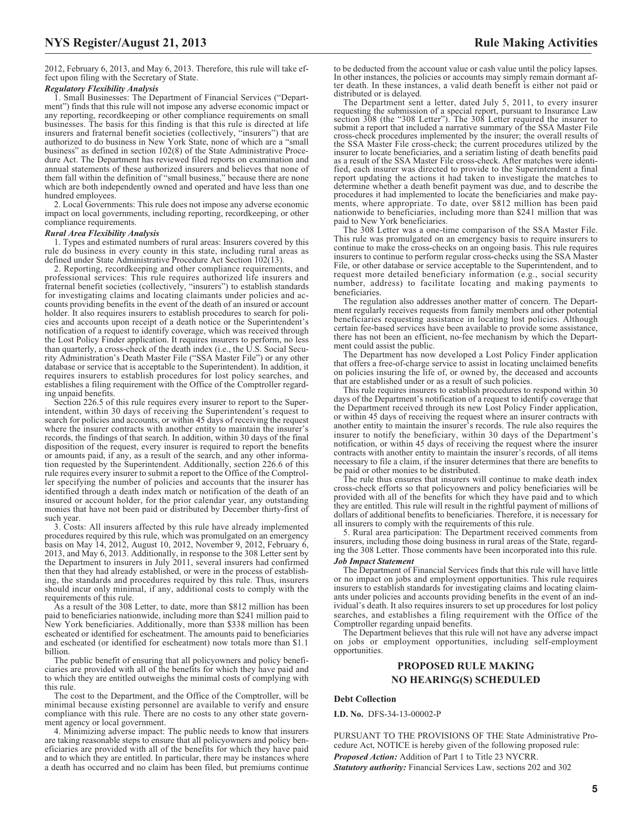#### *Regulatory Flexibility Analysis*

1. Small Businesses: The Department of Financial Services ("Department") finds that this rule will not impose any adverse economic impact or any reporting, recordkeeping or other compliance requirements on small businesses. The basis for this finding is that this rule is directed at life insurers and fraternal benefit societies (collectively, "insurers") that are authorized to do business in New York State, none of which are a "small business" as defined in section 102(8) of the State Administrative Procedure Act. The Department has reviewed filed reports on examination and annual statements of these authorized insurers and believes that none of them fall within the definition of "small business," because there are none which are both independently owned and operated and have less than one hundred employees.

2. Local Governments: This rule does not impose any adverse economic impact on local governments, including reporting, recordkeeping, or other compliance requirements.

#### *Rural Area Flexibility Analysis*

1. Types and estimated numbers of rural areas: Insurers covered by this rule do business in every county in this state, including rural areas as defined under State Administrative Procedure Act Section 102(13).

2. Reporting, recordkeeping and other compliance requirements, and professional services: This rule requires authorized life insurers and fraternal benefit societies (collectively, "insurers") to establish standards for investigating claims and locating claimants under policies and accounts providing benefits in the event of the death of an insured or account holder. It also requires insurers to establish procedures to search for policies and accounts upon receipt of a death notice or the Superintendent's notification of a request to identify coverage, which was received through the Lost Policy Finder application. It requires insurers to perform, no less than quarterly, a cross-check of the death index (i.e., the U.S. Social Security Administration's Death Master File ("SSA Master File") or any other database or service that is acceptable to the Superintendent). In addition, it requires insurers to establish procedures for lost policy searches, and establishes a filing requirement with the Office of the Comptroller regarding unpaid benefits.

Section 226.5 of this rule requires every insurer to report to the Superintendent, within 30 days of receiving the Superintendent's request to search for policies and accounts, or within 45 days of receiving the request where the insurer contracts with another entity to maintain the insurer's records, the findings of that search. In addition, within 30 days of the final disposition of the request, every insurer is required to report the benefits or amounts paid, if any, as a result of the search, and any other information requested by the Superintendent. Additionally, section 226.6 of this rule requires every insurer to submit a report to the Office of the Comptroller specifying the number of policies and accounts that the insurer has identified through a death index match or notification of the death of an insured or account holder, for the prior calendar year, any outstanding monies that have not been paid or distributed by December thirty-first of such year.

3. Costs: All insurers affected by this rule have already implemented procedures required by this rule, which was promulgated on an emergency basis on May 14, 2012, August 10, 2012, November 9, 2012, February 6, 2013, and May 6, 2013. Additionally, in response to the 308 Letter sent by the Department to insurers in July 2011, several insurers had confirmed then that they had already established, or were in the process of establishing, the standards and procedures required by this rule. Thus, insurers should incur only minimal, if any, additional costs to comply with the requirements of this rule.

As a result of the 308 Letter, to date, more than \$812 million has been paid to beneficiaries nationwide, including more than \$241 million paid to New York beneficiaries. Additionally, more than \$338 million has been escheated or identified for escheatment. The amounts paid to beneficiaries and escheated (or identified for escheatment) now totals more than \$1.1 billion.

The public benefit of ensuring that all policyowners and policy beneficiaries are provided with all of the benefits for which they have paid and to which they are entitled outweighs the minimal costs of complying with this rule.

The cost to the Department, and the Office of the Comptroller, will be minimal because existing personnel are available to verify and ensure compliance with this rule. There are no costs to any other state government agency or local government.

4. Minimizing adverse impact: The public needs to know that insurers are taking reasonable steps to ensure that all policyowners and policy beneficiaries are provided with all of the benefits for which they have paid and to which they are entitled. In particular, there may be instances where a death has occurred and no claim has been filed, but premiums continue to be deducted from the account value or cash value until the policy lapses. In other instances, the policies or accounts may simply remain dormant after death. In these instances, a valid death benefit is either not paid or distributed or is delayed.

The Department sent a letter, dated July 5, 2011, to every insurer requesting the submission of a special report, pursuant to Insurance Law section 308 (the "308 Letter"). The 308 Letter required the insurer to submit a report that included a narrative summary of the SSA Master File cross-check procedures implemented by the insurer; the overall results of the SSA Master File cross-check; the current procedures utilized by the insurer to locate beneficiaries, and a seriatim listing of death benefits paid as a result of the SSA Master File cross-check. After matches were identified, each insurer was directed to provide to the Superintendent a final report updating the actions it had taken to investigate the matches to determine whether a death benefit payment was due, and to describe the procedures it had implemented to locate the beneficiaries and make payments, where appropriate. To date, over \$812 million has been paid nationwide to beneficiaries, including more than \$241 million that was paid to New York beneficiaries.

The 308 Letter was a one-time comparison of the SSA Master File. This rule was promulgated on an emergency basis to require insurers to continue to make the cross-checks on an ongoing basis. This rule requires insurers to continue to perform regular cross-checks using the SSA Master File, or other database or service acceptable to the Superintendent, and to request more detailed beneficiary information (e.g., social security number, address) to facilitate locating and making payments to beneficiaries.

The regulation also addresses another matter of concern. The Department regularly receives requests from family members and other potential beneficiaries requesting assistance in locating lost policies. Although certain fee-based services have been available to provide some assistance, there has not been an efficient, no-fee mechanism by which the Department could assist the public.

The Department has now developed a Lost Policy Finder application that offers a free-of-charge service to assist in locating unclaimed benefits on policies insuring the life of, or owned by, the deceased and accounts that are established under or as a result of such policies.

This rule requires insurers to establish procedures to respond within 30 days of the Department's notification of a request to identify coverage that the Department received through its new Lost Policy Finder application, or within 45 days of receiving the request where an insurer contracts with another entity to maintain the insurer's records. The rule also requires the insurer to notify the beneficiary, within 30 days of the Department's notification, or within 45 days of receiving the request where the insurer contracts with another entity to maintain the insurer's records, of all items necessary to file a claim, if the insurer determines that there are benefits to be paid or other monies to be distributed.

The rule thus ensures that insurers will continue to make death index cross-check efforts so that policyowners and policy beneficiaries will be provided with all of the benefits for which they have paid and to which they are entitled. This rule will result in the rightful payment of millions of dollars of additional benefits to beneficiaries. Therefore, it is necessary for all insurers to comply with the requirements of this rule.

5. Rural area participation: The Department received comments from insurers, including those doing business in rural areas of the State, regarding the 308 Letter. Those comments have been incorporated into this rule.

#### *Job Impact Statement*

The Department of Financial Services finds that this rule will have little or no impact on jobs and employment opportunities. This rule requires insurers to establish standards for investigating claims and locating claimants under policies and accounts providing benefits in the event of an individual's death. It also requires insurers to set up procedures for lost policy searches, and establishes a filing requirement with the Office of the Comptroller regarding unpaid benefits.

The Department believes that this rule will not have any adverse impact on jobs or employment opportunities, including self-employment opportunities.

# **PROPOSED RULE MAKING NO HEARING(S) SCHEDULED**

#### **Debt Collection**

**I.D. No.** DFS-34-13-00002-P

PURSUANT TO THE PROVISIONS OF THE State Administrative Procedure Act, NOTICE is hereby given of the following proposed rule: *Proposed Action:* Addition of Part 1 to Title 23 NYCRR. *Statutory authority:* Financial Services Law, sections 202 and 302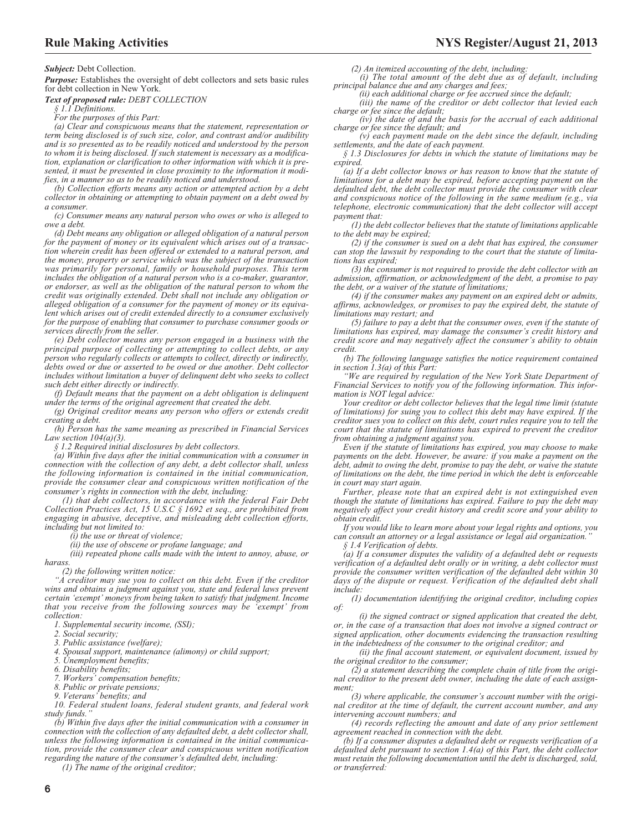*Subject:* Debt Collection.

*Purpose:* Establishes the oversight of debt collectors and sets basic rules for debt collection in New York.

*Text of proposed rule: DEBT COLLECTION*

*§ 1.1 Definitions.*

*For the purposes of this Part:*

*(a) Clear and conspicuous means that the statement, representation or term being disclosed is of such size, color, and contrast and/or audibility and is so presented as to be readily noticed and understood by the person to whom it is being disclosed. If such statement is necessary as a modification, explanation or clarification to other information with which it is presented, it must be presented in close proximity to the information it modifies, in a manner so as to be readily noticed and understood.*

*(b) Collection efforts means any action or attempted action by a debt collector in obtaining or attempting to obtain payment on a debt owed by*

*a consumer. (c) Consumer means any natural person who owes or who is alleged to owe a debt.*

*(d) Debt means any obligation or alleged obligation of a natural person for the payment of money or its equivalent which arises out of a transaction wherein credit has been offered or extended to a natural person, and the money, property or service which was the subject of the transaction was primarily for personal, family or household purposes. This term includes the obligation of a natural person who is a co-maker, guarantor, or endorser, as well as the obligation of the natural person to whom the credit was originally extended. Debt shall not include any obligation or alleged obligation of a consumer for the payment of money or its equivalent which arises out of credit extended directly to a consumer exclusively for the purpose of enabling that consumer to purchase consumer goods or services directly from the seller.*

*(e) Debt collector means any person engaged in a business with the principal purpose of collecting or attempting to collect debts, or any person who regularly collects or attempts to collect, directly or indirectly, debts owed or due or asserted to be owed or due another. Debt collector includes without limitation a buyer of delinquent debt who seeks to collect such debt either directly or indirectly.*

*(f) Default means that the payment on a debt obligation is delinquent under the terms of the original agreement that created the debt.*

*(g) Original creditor means any person who offers or extends credit creating a debt.*

*(h) Person has the same meaning as prescribed in Financial Services Law section 104(a)(3).*

*§ 1.2 Required initial disclosures by debt collectors.*

*(a) Within five days after the initial communication with a consumer in connection with the collection of any debt, a debt collector shall, unless the following information is contained in the initial communication, provide the consumer clear and conspicuous written notification of the consumer's rights in connection with the debt, including:*

*(1) that debt collectors, in accordance with the federal Fair Debt Collection Practices Act, 15 U.S.C § 1692 et seq., are prohibited from engaging in abusive, deceptive, and misleading debt collection efforts, including but not limited to:*

*(i) the use or threat of violence;*

*(ii) the use of obscene or profane language; and*

*(iii) repeated phone calls made with the intent to annoy, abuse, or harass.*

*(2) the following written notice:*

*"A creditor may sue you to collect on this debt. Even if the creditor wins and obtains a judgment against you, state and federal laws prevent certain 'exempt' moneys from being taken to satisfy that judgment. Income that you receive from the following sources may be 'exempt' from collection:*

*1. Supplemental security income, (SSI);*

*2. Social security;*

*3. Public assistance (welfare);*

*4. Spousal support, maintenance (alimony) or child support;*

*5. Unemployment benefits;*

*6. Disability benefits;*

*7. Workers' compensation benefits;*

*8. Public or private pensions;*

*9. Veterans' benefits; and 10. Federal student loans, federal student grants, and federal work study funds."*

*(b) Within five days after the initial communication with a consumer in connection with the collection of any defaulted debt, a debt collector shall, unless the following information is contained in the initial communication, provide the consumer clear and conspicuous written notification regarding the nature of the consumer's defaulted debt, including:*

*(1) The name of the original creditor;*

*(2) An itemized accounting of the debt, including: (i) The total amount of the debt due as of default, including principal balance due and any charges and fees;*

*(ii) each additional charge or fee accrued since the default;*

*(iii) the name of the creditor or debt collector that levied each charge or fee since the default;*

*(iv) the date of and the basis for the accrual of each additional charge or fee since the default; and (v) each payment made on the debt since the default, including*

*settlements, and the date of each payment.*

*§ 1.3 Disclosures for debts in which the statute of limitations may be expired.*

*(a) If a debt collector knows or has reason to know that the statute of limitations for a debt may be expired, before accepting payment on the defaulted debt, the debt collector must provide the consumer with clear and conspicuous notice of the following in the same medium (e.g., via telephone, electronic communication) that the debt collector will accept payment that:*

*(1) the debt collector believes that the statute of limitations applicable to the debt may be expired;*

*(2) if the consumer is sued on a debt that has expired, the consumer can stop the lawsuit by responding to the court that the statute of limitations has expired;*

*(3) the consumer is not required to provide the debt collector with an admission, affirmation, or acknowledgment of the debt, a promise to pay the debt, or a waiver of the statute of limitations;*

*(4) if the consumer makes any payment on an expired debt or admits, affirms, acknowledges, or promises to pay the expired debt, the statute of limitations may restart; and*

*(5) failure to pay a debt that the consumer owes, even if the statute of limitations has expired, may damage the consumer's credit history and credit score and may negatively affect the consumer's ability to obtain credit.*

*(b) The following language satisfies the notice requirement contained in section 1.3(a) of this Part:*

*"We are required by regulation of the New York State Department of Financial Services to notify you of the following information. This information is NOT legal advice:*

*Your creditor or debt collector believes that the legal time limit (statute of limitations) for suing you to collect this debt may have expired. If the creditor sues you to collect on this debt, court rules require you to tell the court that the statute of limitations has expired to prevent the creditor from obtaining a judgment against you.*

*Even if the statute of limitations has expired, you may choose to make payments on the debt. However, be aware: if you make a payment on the debt, admit to owing the debt, promise to pay the debt, or waive the statute of limitations on the debt, the time period in which the debt is enforceable in court may start again.*

*Further, please note that an expired debt is not extinguished even though the statute of limitations has expired. Failure to pay the debt may negatively affect your credit history and credit score and your ability to obtain credit.*

*If you would like to learn more about your legal rights and options, you can consult an attorney or a legal assistance or legal aid organization."*

*§ 1.4 Verification of debts.*

*(a) If a consumer disputes the validity of a defaulted debt or requests verification of a defaulted debt orally or in writing, a debt collector must provide the consumer written verification of the defaulted debt within 30 days of the dispute or request. Verification of the defaulted debt shall include:*

*(1) documentation identifying the original creditor, including copies of:*

*(i) the signed contract or signed application that created the debt, or, in the case of a transaction that does not involve a signed contract or signed application, other documents evidencing the transaction resulting in the indebtedness of the consumer to the original creditor; and*

*(ii) the final account statement, or equivalent document, issued by the original creditor to the consumer;*

*(2) a statement describing the complete chain of title from the original creditor to the present debt owner, including the date of each assignment;*

*(3) where applicable, the consumer's account number with the original creditor at the time of default, the current account number, and any intervening account numbers; and*

*(4) records reflecting the amount and date of any prior settlement agreement reached in connection with the debt.*

*(b) If a consumer disputes a defaulted debt or requests verification of a defaulted debt pursuant to section 1.4(a) of this Part, the debt collector must retain the following documentation until the debt is discharged, sold, or transferred:*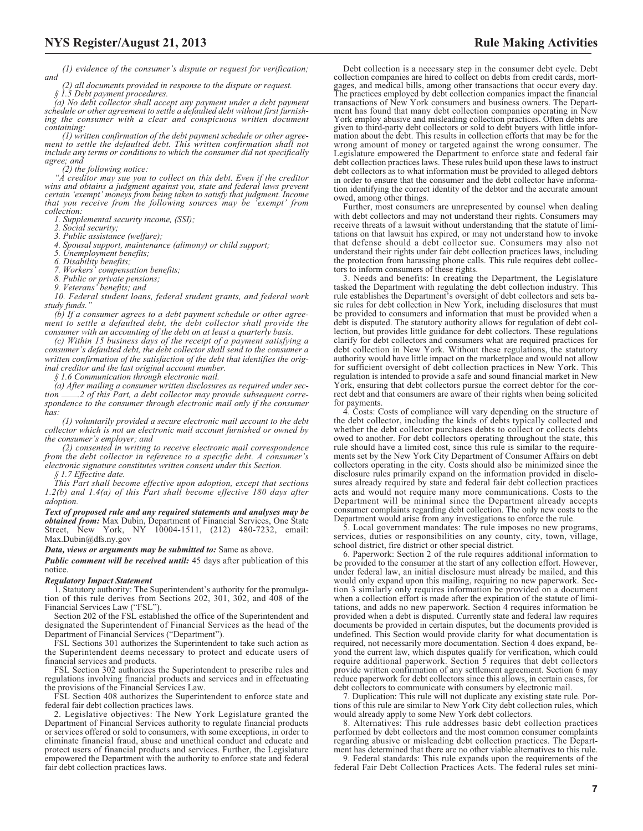*(1) evidence of the consumer's dispute or request for verification; and*

*(2) all documents provided in response to the dispute or request.*

*§ 1.5 Debt payment procedures.*

*(a) No debt collector shall accept any payment under a debt payment schedule or other agreement to settle a defaulted debt without first furnishing the consumer with a clear and conspicuous written document containing:*

*(1) written confirmation of the debt payment schedule or other agreement to settle the defaulted debt. This written confirmation shall not include any terms or conditions to which the consumer did not specifically agree; and*

*(2) the following notice:*

*"A creditor may sue you to collect on this debt. Even if the creditor wins and obtains a judgment against you, state and federal laws prevent certain 'exempt' moneys from being taken to satisfy that judgment. Income that you receive from the following sources may be 'exempt' from collection:*

*1. Supplemental security income, (SSI); 2. Social security;*

*3. Public assistance (welfare);*

*4. Spousal support, maintenance (alimony) or child support; 5. Unemployment benefits;*

*6. Disability benefits;*

*7. Workers' compensation benefits;*

*8. Public or private pensions;*

*9. Veterans' benefits; and*

*10. Federal student loans, federal student grants, and federal work study funds."*

*(b) If a consumer agrees to a debt payment schedule or other agreement to settle a defaulted debt, the debt collector shall provide the consumer with an accounting of the debt on at least a quarterly basis.*

*(c) Within 15 business days of the receipt of a payment satisfying a consumer's defaulted debt, the debt collector shall send to the consumer a written confirmation of the satisfaction of the debt that identifies the original creditor and the last original account number.*

*§ 1.6 Communication through electronic mail.*

*(a) After mailing a consumer written disclosures as required under section .2 of this Part, a debt collector may provide subsequent correspondence to the consumer through electronic mail only if the consumer has:*

*(1) voluntarily provided a secure electronic mail account to the debt collector which is not an electronic mail account furnished or owned by the consumer's employer; and*

*(2) consented in writing to receive electronic mail correspondence from the debt collector in reference to a specific debt. A consumer's electronic signature constitutes written consent under this Section.*

*§ 1.7 Effective date.*

*This Part shall become effective upon adoption, except that sections 1.2(b) and 1.4(a) of this Part shall become effective 180 days after adoption.*

*Text of proposed rule and any required statements and analyses may be obtained from:* Max Dubin, Department of Financial Services, One State Street, New York, NY 10004-1511, (212) 480-7232, email: [Max.Dubin@dfs.ny.gov](mailto: Max.Dubin@dfs.ny.gov)

*Data, views or arguments may be submitted to:* Same as above.

*Public comment will be received until:* 45 days after publication of this notice.

#### *Regulatory Impact Statement*

1. Statutory authority: The Superintendent's authority for the promulgation of this rule derives from Sections 202, 301, 302, and 408 of the Financial Services Law ("FSL").

Section 202 of the FSL established the office of the Superintendent and designated the Superintendent of Financial Services as the head of the Department of Financial Services ("Department").

FSL Sections 301 authorizes the Superintendent to take such action as the Superintendent deems necessary to protect and educate users of financial services and products.

FSL Section 302 authorizes the Superintendent to prescribe rules and regulations involving financial products and services and in effectuating the provisions of the Financial Services Law.

FSL Section 408 authorizes the Superintendent to enforce state and federal fair debt collection practices laws.

2. Legislative objectives: The New York Legislature granted the Department of Financial Services authority to regulate financial products or services offered or sold to consumers, with some exceptions, in order to eliminate financial fraud, abuse and unethical conduct and educate and protect users of financial products and services. Further, the Legislature empowered the Department with the authority to enforce state and federal fair debt collection practices laws.

Debt collection is a necessary step in the consumer debt cycle. Debt collection companies are hired to collect on debts from credit cards, mortgages, and medical bills, among other transactions that occur every day. The practices employed by debt collection companies impact the financial transactions of New York consumers and business owners. The Department has found that many debt collection companies operating in New York employ abusive and misleading collection practices. Often debts are given to third-party debt collectors or sold to debt buyers with little infor-mation about the debt. This results in collection efforts that may be for the wrong amount of money or targeted against the wrong consumer. The Legislature empowered the Department to enforce state and federal fair debt collection practices laws. These rules build upon these laws to instruct debt collectors as to what information must be provided to alleged debtors in order to ensure that the consumer and the debt collector have information identifying the correct identity of the debtor and the accurate amount owed, among other things.

Further, most consumers are unrepresented by counsel when dealing with debt collectors and may not understand their rights. Consumers may receive threats of a lawsuit without understanding that the statute of limitations on that lawsuit has expired, or may not understand how to invoke that defense should a debt collector sue. Consumers may also not understand their rights under fair debt collection practices laws, including the protection from harassing phone calls. This rule requires debt collectors to inform consumers of these rights.

3. Needs and benefits: In creating the Department, the Legislature tasked the Department with regulating the debt collection industry. This rule establishes the Department's oversight of debt collectors and sets basic rules for debt collection in New York, including disclosures that must be provided to consumers and information that must be provided when a debt is disputed. The statutory authority allows for regulation of debt collection, but provides little guidance for debt collectors. These regulations clarify for debt collectors and consumers what are required practices for debt collection in New York. Without these regulations, the statutory authority would have little impact on the marketplace and would not allow for sufficient oversight of debt collection practices in New York. This regulation is intended to provide a safe and sound financial market in New York, ensuring that debt collectors pursue the correct debtor for the correct debt and that consumers are aware of their rights when being solicited for payments.

4. Costs: Costs of compliance will vary depending on the structure of the debt collector, including the kinds of debts typically collected and whether the debt collector purchases debts to collect or collects debts owed to another. For debt collectors operating throughout the state, this rule should have a limited cost, since this rule is similar to the requirements set by the New York City Department of Consumer Affairs on debt collectors operating in the city. Costs should also be minimized since the disclosure rules primarily expand on the information provided in disclosures already required by state and federal fair debt collection practices acts and would not require many more communications. Costs to the Department will be minimal since the Department already accepts consumer complaints regarding debt collection. The only new costs to the Department would arise from any investigations to enforce the rule.

5. Local government mandates: The rule imposes no new programs, services, duties or responsibilities on any county, city, town, village, school district, fire district or other special district.

6. Paperwork: Section 2 of the rule requires additional information to be provided to the consumer at the start of any collection effort. However, under federal law, an initial disclosure must already be mailed, and this would only expand upon this mailing, requiring no new paperwork. Section 3 similarly only requires information be provided on a document when a collection effort is made after the expiration of the statute of limitations, and adds no new paperwork. Section 4 requires information be provided when a debt is disputed. Currently state and federal law requires documents be provided in certain disputes, but the documents provided is undefined. This Section would provide clarity for what documentation is required, not necessarily more documentation. Section 4 does expand, beyond the current law, which disputes qualify for verification, which could require additional paperwork. Section 5 requires that debt collectors provide written confirmation of any settlement agreement. Section 6 may reduce paperwork for debt collectors since this allows, in certain cases, for debt collectors to communicate with consumers by electronic mail.

7. Duplication: This rule will not duplicate any existing state rule. Portions of this rule are similar to New York City debt collection rules, which would already apply to some New York debt collectors.

8. Alternatives: This rule addresses basic debt collection practices performed by debt collectors and the most common consumer complaints regarding abusive or misleading debt collection practices. The Department has determined that there are no other viable alternatives to this rule.

9. Federal standards: This rule expands upon the requirements of the federal Fair Debt Collection Practices Acts. The federal rules set mini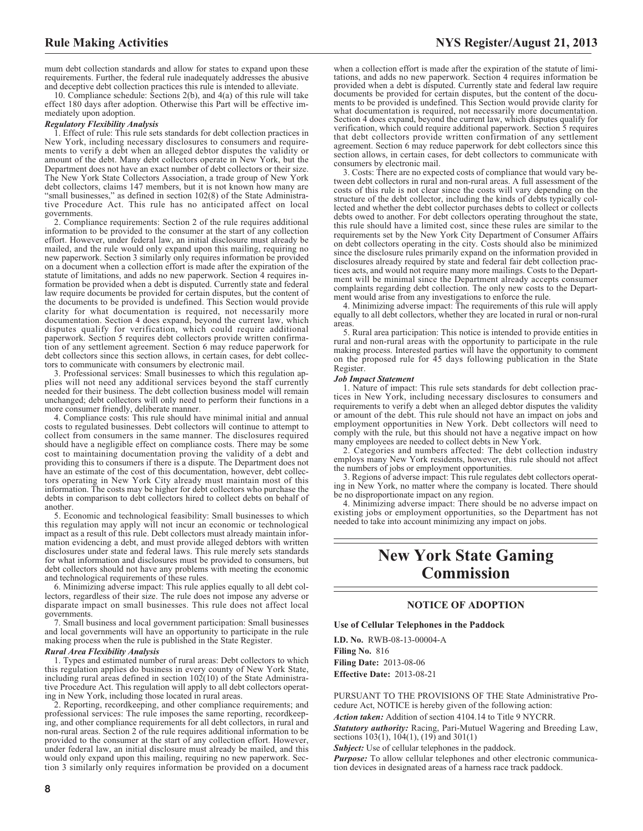mum debt collection standards and allow for states to expand upon these requirements. Further, the federal rule inadequately addresses the abusive and deceptive debt collection practices this rule is intended to alleviate.

10. Compliance schedule: Sections 2(b), and 4(a) of this rule will take effect 180 days after adoption. Otherwise this Part will be effective immediately upon adoption.

#### *Regulatory Flexibility Analysis*

1. Effect of rule: This rule sets standards for debt collection practices in New York, including necessary disclosures to consumers and requirements to verify a debt when an alleged debtor disputes the validity or amount of the debt. Many debt collectors operate in New York, but the Department does not have an exact number of debt collectors or their size. The New York State Collectors Association, a trade group of New York debt collectors, claims 147 members, but it is not known how many are "small businesses," as defined in section 102(8) of the State Administrative Procedure Act. This rule has no anticipated affect on local governments.

2. Compliance requirements: Section 2 of the rule requires additional information to be provided to the consumer at the start of any collection effort. However, under federal law, an initial disclosure must already be mailed, and the rule would only expand upon this mailing, requiring no new paperwork. Section 3 similarly only requires information be provided on a document when a collection effort is made after the expiration of the statute of limitations, and adds no new paperwork. Section 4 requires information be provided when a debt is disputed. Currently state and federal law require documents be provided for certain disputes, but the content of the documents to be provided is undefined. This Section would provide clarity for what documentation is required, not necessarily more documentation. Section 4 does expand, beyond the current law, which disputes qualify for verification, which could require additional paperwork. Section 5 requires debt collectors provide written confirmation of any settlement agreement. Section 6 may reduce paperwork for debt collectors since this section allows, in certain cases, for debt collectors to communicate with consumers by electronic mail.

3. Professional services: Small businesses to which this regulation applies will not need any additional services beyond the staff currently needed for their business. The debt collection business model will remain unchanged; debt collectors will only need to perform their functions in a more consumer friendly, deliberate manner.

4. Compliance costs: This rule should have minimal initial and annual costs to regulated businesses. Debt collectors will continue to attempt to collect from consumers in the same manner. The disclosures required should have a negligible effect on compliance costs. There may be some cost to maintaining documentation proving the validity of a debt and providing this to consumers if there is a dispute. The Department does not have an estimate of the cost of this documentation, however, debt collectors operating in New York City already must maintain most of this information. The costs may be higher for debt collectors who purchase the debts in comparison to debt collectors hired to collect debts on behalf of another.

5. Economic and technological feasibility: Small businesses to which this regulation may apply will not incur an economic or technological impact as a result of this rule. Debt collectors must already maintain information evidencing a debt, and must provide alleged debtors with written disclosures under state and federal laws. This rule merely sets standards for what information and disclosures must be provided to consumers, but debt collectors should not have any problems with meeting the economic and technological requirements of these rules.

6. Minimizing adverse impact: This rule applies equally to all debt collectors, regardless of their size. The rule does not impose any adverse or disparate impact on small businesses. This rule does not affect local governments.

7. Small business and local government participation: Small businesses and local governments will have an opportunity to participate in the rule making process when the rule is published in the State Register.

#### *Rural Area Flexibility Analysis*

1. Types and estimated number of rural areas: Debt collectors to which this regulation applies do business in every county of New York State, including rural areas defined in section 102(10) of the State Administrative Procedure Act. This regulation will apply to all debt collectors operating in New York, including those located in rural areas.

2. Reporting, recordkeeping, and other compliance requirements; and professional services: The rule imposes the same reporting, recordkeeping, and other compliance requirements for all debt collectors, in rural and non-rural areas. Section 2 of the rule requires additional information to be provided to the consumer at the start of any collection effort. However, under federal law, an initial disclosure must already be mailed, and this would only expand upon this mailing, requiring no new paperwork. Section 3 similarly only requires information be provided on a document

when a collection effort is made after the expiration of the statute of limitations, and adds no new paperwork. Section 4 requires information be provided when a debt is disputed. Currently state and federal law require documents be provided for certain disputes, but the content of the documents to be provided is undefined. This Section would provide clarity for what documentation is required, not necessarily more documentation. Section 4 does expand, beyond the current law, which disputes qualify for verification, which could require additional paperwork. Section 5 requires that debt collectors provide written confirmation of any settlement agreement. Section 6 may reduce paperwork for debt collectors since this section allows, in certain cases, for debt collectors to communicate with consumers by electronic mail.

3. Costs: There are no expected costs of compliance that would vary between debt collectors in rural and non-rural areas. A full assessment of the costs of this rule is not clear since the costs will vary depending on the structure of the debt collector, including the kinds of debts typically collected and whether the debt collector purchases debts to collect or collects debts owed to another. For debt collectors operating throughout the state, this rule should have a limited cost, since these rules are similar to the requirements set by the New York City Department of Consumer Affairs on debt collectors operating in the city. Costs should also be minimized since the disclosure rules primarily expand on the information provided in disclosures already required by state and federal fair debt collection practices acts, and would not require many more mailings. Costs to the Department will be minimal since the Department already accepts consumer complaints regarding debt collection. The only new costs to the Department would arise from any investigations to enforce the rule.

4. Minimizing adverse impact: The requirements of this rule will apply equally to all debt collectors, whether they are located in rural or non-rural areas.

5. Rural area participation: This notice is intended to provide entities in rural and non-rural areas with the opportunity to participate in the rule making process. Interested parties will have the opportunity to comment on the proposed rule for 45 days following publication in the State Register.

#### *Job Impact Statement*

1. Nature of impact: This rule sets standards for debt collection practices in New York, including necessary disclosures to consumers and requirements to verify a debt when an alleged debtor disputes the validity or amount of the debt. This rule should not have an impact on jobs and employment opportunities in New York. Debt collectors will need to comply with the rule, but this should not have a negative impact on how many employees are needed to collect debts in New York.

2. Categories and numbers affected: The debt collection industry employs many New York residents, however, this rule should not affect the numbers of jobs or employment opportunities.

3. Regions of adverse impact: This rule regulates debt collectors operating in New York, no matter where the company is located. There should be no disproportionate impact on any region.

4. Minimizing adverse impact: There should be no adverse impact on existing jobs or employment opportunities, so the Department has not needed to take into account minimizing any impact on jobs.

# **New York State Gaming Commission**

## **NOTICE OF ADOPTION**

**Use of Cellular Telephones in the Paddock**

**I.D. No.** RWB-08-13-00004-A **Filing No.** 816 **Filing Date:** 2013-08-06 **Effective Date:** 2013-08-21

PURSUANT TO THE PROVISIONS OF THE State Administrative Procedure Act, NOTICE is hereby given of the following action:

*Action taken:* Addition of section 4104.14 to Title 9 NYCRR.

*Statutory authority:* Racing, Pari-Mutuel Wagering and Breeding Law, sections 103(1), 104(1), (19) and 301(1)

*Subject:* Use of cellular telephones in the paddock.

*Purpose:* To allow cellular telephones and other electronic communication devices in designated areas of a harness race track paddock.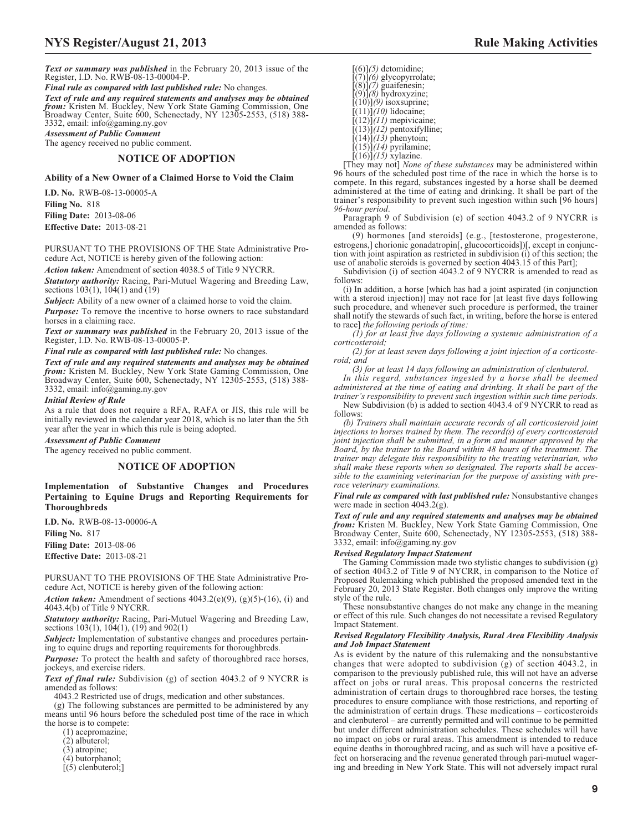*Text or summary was published* in the February 20, 2013 issue of the Register, I.D. No. RWB-08-13-00004-P.

*Final rule as compared with last published rule:* No changes.

*Text of rule and any required statements and analyses may be obtained from:* Kristen M. Buckley, New York State Gaming Commission, One Broadway Center, Suite 600, Schenectady, NY 12305-2553, (518) 388- 3332, email: info@gaming.ny.gov

*Assessment of Public Comment*

The agency received no public comment.

## **NOTICE OF ADOPTION**

**Ability of a New Owner of a Claimed Horse to Void the Claim**

**I.D. No.** RWB-08-13-00005-A **Filing No.** 818 **Filing Date:** 2013-08-06 **Effective Date:** 2013-08-21

PURSUANT TO THE PROVISIONS OF THE State Administrative Procedure Act, NOTICE is hereby given of the following action:

*Action taken:* Amendment of section 4038.5 of Title 9 NYCRR.

*Statutory authority:* Racing, Pari-Mutuel Wagering and Breeding Law, sections 103(1), 104(1) and (19)

*Subject:* Ability of a new owner of a claimed horse to void the claim.

*Purpose:* To remove the incentive to horse owners to race substandard horses in a claiming race.

*Text or summary was published* in the February 20, 2013 issue of the Register, I.D. No. RWB-08-13-00005-P.

*Final rule as compared with last published rule:* No changes.

*Text of rule and any required statements and analyses may be obtained from:* Kristen M. Buckley, New York State Gaming Commission, One Broadway Center, Suite 600, Schenectady, NY 12305-2553, (518) 388- 3332, email: info@gaming.ny.gov

#### *Initial Review of Rule*

As a rule that does not require a RFA, RAFA or JIS, this rule will be initially reviewed in the calendar year 2018, which is no later than the 5th year after the year in which this rule is being adopted.

*Assessment of Public Comment*

The agency received no public comment.

## **NOTICE OF ADOPTION**

**Implementation of Substantive Changes and Procedures Pertaining to Equine Drugs and Reporting Requirements for Thoroughbreds**

**I.D. No.** RWB-08-13-00006-A

**Filing No.** 817 **Filing Date:** 2013-08-06

**Effective Date:** 2013-08-21

PURSUANT TO THE PROVISIONS OF THE State Administrative Procedure Act, NOTICE is hereby given of the following action:

*Action taken:* Amendment of sections  $4043.2(e)(9)$ ,  $(g)(5)-(16)$ , (i) and 4043.4(b) of Title 9 NYCRR.

*Statutory authority:* Racing, Pari-Mutuel Wagering and Breeding Law, sections  $103(1)$ ,  $104(1)$ ,  $(19)$  and  $902(1)$ 

*Subject:* Implementation of substantive changes and procedures pertaining to equine drugs and reporting requirements for thoroughbreds.

*Purpose:* To protect the health and safety of thoroughbred race horses, jockeys, and exercise riders.

*Text of final rule:* Subdivision (g) of section 4043.2 of 9 NYCRR is amended as follows:

4043.2 Restricted use of drugs, medication and other substances.

(g) The following substances are permitted to be administered by any means until 96 hours before the scheduled post time of the race in which the horse is to compete:

(1) acepromazine;

(2) albuterol;

(3) atropine;

- (4) butorphanol;
- $\int (5)$  clenbuterol;

[(6)]*(5)* detomidine; [(7)]*(6)* glycopyrrolate; [(8)]*(7)* guaifenesin; [(9)]*(8)* hydroxyzine; [(10)]*(9)* isoxsuprine;  $[(11)]$  $(10)$  lidocaine;  $\int (12) \int (11)$  mepivicaine; [(13)]*(12)* pentoxifylline;  $[(14)](13)$  phenytoin;  $(15)$  $(14)$  pyrilamine;

[(16)]*(15)* xylazine.

[They may not] *None of these substances* may be administered within 96 hours of the scheduled post time of the race in which the horse is to compete. In this regard, substances ingested by a horse shall be deemed administered at the time of eating and drinking. It shall be part of the trainer's responsibility to prevent such ingestion within such [96 hours] *96-hour period*.

Paragraph 9 of Subdivision (e) of section 4043.2 of 9 NYCRR is amended as follows:

(9) hormones [and steroids] (e.g., [testosterone, progesterone, estrogens,] chorionic gonadatropin[, glucocorticoids])[, except in conjunction with joint aspiration as restricted in subdivision (i) of this section; the use of anabolic steroids is governed by section 4043.15 of this Part];

Subdivision (i) of section 4043.2 of 9 NYCRR is amended to read as follows:

(i) In addition, a horse [which has had a joint aspirated (in conjunction with a steroid injection)] may not race for [at least five days following such procedure, and whenever such procedure is performed, the trainer shall notify the stewards of such fact, in writing, before the horse is entered to race] *the following periods of time:*

*(1) for at least five days following a systemic administration of a corticosteroid;*

*(2) for at least seven days following a joint injection of a corticosteroid; and*

*(3) for at least 14 days following an administration of clenbuterol.*

*In this regard, substances ingested by a horse shall be deemed administered at the time of eating and drinking. It shall be part of the trainer's responsibility to prevent such ingestion within such time periods.*

New Subdivision (b) is added to section 4043.4 of 9 NYCRR to read as follows:

*(b) Trainers shall maintain accurate records of all corticosteroid joint injections to horses trained by them. The record(s) of every corticosteroid joint injection shall be submitted, in a form and manner approved by the Board, by the trainer to the Board within 48 hours of the treatment. The trainer may delegate this responsibility to the treating veterinarian, who shall make these reports when so designated. The reports shall be accessible to the examining veterinarian for the purpose of assisting with prerace veterinary examinations.*

*Final rule as compared with last published rule:* Nonsubstantive changes were made in section 4043.2(g).

*Text of rule and any required statements and analyses may be obtained from:* Kristen M. Buckley, New York State Gaming Commission, One Broadway Center, Suite 600, Schenectady, NY 12305-2553, (518) 388- 3332, email: info@gaming.ny.gov

#### *Revised Regulatory Impact Statement*

The Gaming Commission made two stylistic changes to subdivision (g) of section 4043.2 of Title 9 of NYCRR, in comparison to the Notice of Proposed Rulemaking which published the proposed amended text in the February 20, 2013 State Register. Both changes only improve the writing style of the rule.

These nonsubstantive changes do not make any change in the meaning or effect of this rule. Such changes do not necessitate a revised Regulatory Impact Statement.

#### *Revised Regulatory Flexibility Analysis, Rural Area Flexibility Analysis and Job Impact Statement*

As is evident by the nature of this rulemaking and the nonsubstantive changes that were adopted to subdivision (g) of section 4043.2, in comparison to the previously published rule, this will not have an adverse affect on jobs or rural areas. This proposal concerns the restricted administration of certain drugs to thoroughbred race horses, the testing procedures to ensure compliance with those restrictions, and reporting of the administration of certain drugs. These medications – corticosteroids and clenbuterol – are currently permitted and will continue to be permitted but under different administration schedules. These schedules will have no impact on jobs or rural areas. This amendment is intended to reduce equine deaths in thoroughbred racing, and as such will have a positive effect on horseracing and the revenue generated through pari-mutuel wagering and breeding in New York State. This will not adversely impact rural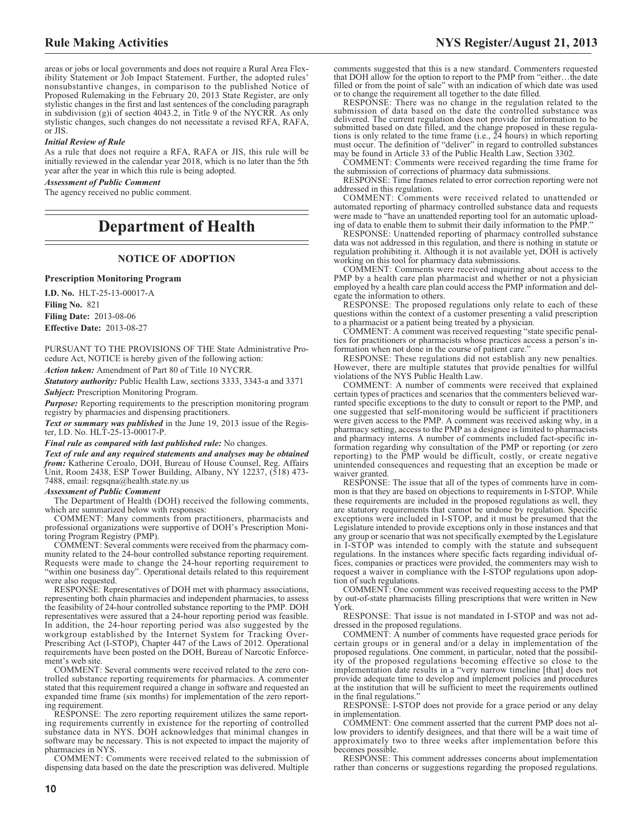areas or jobs or local governments and does not require a Rural Area Flexibility Statement or Job Impact Statement. Further, the adopted rules' nonsubstantive changes, in comparison to the published Notice of Proposed Rulemaking in the February 20, 2013 State Register, are only stylistic changes in the first and last sentences of the concluding paragraph in subdivision (g)i of section 4043.2, in Title 9 of the NYCRR. As only stylistic changes, such changes do not necessitate a revised RFA, RAFA,  $\overline{or}$  IIS.

#### *Initial Review of Rule*

As a rule that does not require a RFA, RAFA or JIS, this rule will be initially reviewed in the calendar year 2018, which is no later than the 5th year after the year in which this rule is being adopted.

#### *Assessment of Public Comment*

The agency received no public comment.

# **Department of Health**

#### **NOTICE OF ADOPTION**

#### **Prescription Monitoring Program**

**I.D. No.** HLT-25-13-00017-A **Filing No.** 821 **Filing Date:** 2013-08-06 **Effective Date:** 2013-08-27

PURSUANT TO THE PROVISIONS OF THE State Administrative Procedure Act, NOTICE is hereby given of the following action:

*Action taken:* Amendment of Part 80 of Title 10 NYCRR.

*Statutory authority:* Public Health Law, sections 3333, 3343-a and 3371 *Subject:* Prescription Monitoring Program.

**Purpose:** Reporting requirements to the prescription monitoring program registry by pharmacies and dispensing practitioners.

*Text or summary was published* in the June 19, 2013 issue of the Register, I.D. No. HLT-25-13-00017-P.

#### *Final rule as compared with last published rule:* No changes.

*Text of rule and any required statements and analyses may be obtained from:* Katherine Ceroalo, DOH, Bureau of House Counsel, Reg. Affairs Unit, Room 2438, ESP Tower Building, Albany, NY 12237, (518) 473- 7488, email: regsqna@health.state.ny.us

#### *Assessment of Public Comment*

The Department of Health (DOH) received the following comments, which are summarized below with responses:

COMMENT: Many comments from practitioners, pharmacists and professional organizations were supportive of DOH's Prescription Monitoring Program Registry (PMP).

COMMENT: Several comments were received from the pharmacy community related to the 24-hour controlled substance reporting requirement. Requests were made to change the 24-hour reporting requirement to "within one business day". Operational details related to this requirement were also requested.

RESPONSE: Representatives of DOH met with pharmacy associations, representing both chain pharmacies and independent pharmacies, to assess the feasibility of 24-hour controlled substance reporting to the PMP. DOH representatives were assured that a 24-hour reporting period was feasible. In addition, the 24-hour reporting period was also suggested by the workgroup established by the Internet System for Tracking Over-Prescribing Act (I-STOP), Chapter 447 of the Laws of 2012. Operational requirements have been posted on the DOH, Bureau of Narcotic Enforcement's web site.

COMMENT: Several comments were received related to the zero controlled substance reporting requirements for pharmacies. A commenter stated that this requirement required a change in software and requested an expanded time frame (six months) for implementation of the zero reporting requirement.

RESPONSE: The zero reporting requirement utilizes the same reporting requirements currently in existence for the reporting of controlled substance data in NYS. DOH acknowledges that minimal changes in software may be necessary. This is not expected to impact the majority of pharmacies in NYS.

COMMENT: Comments were received related to the submission of dispensing data based on the date the prescription was delivered. Multiple comments suggested that this is a new standard. Commenters requested that DOH allow for the option to report to the PMP from "either…the date filled or from the point of sale" with an indication of which date was used or to change the requirement all together to the date filled.

RESPONSE: There was no change in the regulation related to the submission of data based on the date the controlled substance was delivered. The current regulation does not provide for information to be submitted based on date filled, and the change proposed in these regula-tions is only related to the time frame (i.e., 24 hours) in which reporting must occur. The definition of "deliver" in regard to controlled substances may be found in Article 33 of the Public Health Law, Section 3302.

COMMENT: Comments were received regarding the time frame for the submission of corrections of pharmacy data submissions.

RESPONSE: Time frames related to error correction reporting were not addressed in this regulation.

COMMENT: Comments were received related to unattended or automated reporting of pharmacy controlled substance data and requests were made to "have an unattended reporting tool for an automatic uploading of data to enable them to submit their daily information to the PMP."

RESPONSE: Unattended reporting of pharmacy controlled substance data was not addressed in this regulation, and there is nothing in statute or regulation prohibiting it. Although it is not available yet, DOH is actively working on this tool for pharmacy data submissions.

COMMENT: Comments were received inquiring about access to the PMP by a health care plan pharmacist and whether or not a physician employed by a health care plan could access the PMP information and delegate the information to others.

RESPONSE: The proposed regulations only relate to each of these questions within the context of a customer presenting a valid prescription to a pharmacist or a patient being treated by a physician.

COMMENT: A comment was received requesting "state specific penalties for practitioners or pharmacists whose practices access a person's information when not done in the course of patient care."

RESPONSE: These regulations did not establish any new penalties. However, there are multiple statutes that provide penalties for willful violations of the NYS Public Health Law.

COMMENT: A number of comments were received that explained certain types of practices and scenarios that the commenters believed warranted specific exceptions to the duty to consult or report to the PMP, and one suggested that self-monitoring would be sufficient if practitioners were given access to the PMP. A comment was received asking why, in a pharmacy setting, access to the PMP as a designee is limited to pharmacists and pharmacy interns. A number of comments included fact-specific information regarding why consultation of the PMP or reporting (or zero reporting) to the PMP would be difficult, costly, or create negative unintended consequences and requesting that an exception be made or waiver granted.

RESPONSE: The issue that all of the types of comments have in common is that they are based on objections to requirements in I-STOP. While these requirements are included in the proposed regulations as well, they are statutory requirements that cannot be undone by regulation. Specific exceptions were included in I-STOP, and it must be presumed that the Legislature intended to provide exceptions only in those instances and that any group or scenario that was not specifically exempted by the Legislature in I-STOP was intended to comply with the statute and subsequent regulations. In the instances where specific facts regarding individual offices, companies or practices were provided, the commenters may wish to request a waiver in compliance with the I-STOP regulations upon adoption of such regulations.

COMMENT: One comment was received requesting access to the PMP by out-of-state pharmacists filling prescriptions that were written in New York.

RESPONSE: That issue is not mandated in I-STOP and was not addressed in the proposed regulations.

COMMENT: A number of comments have requested grace periods for certain groups or in general and/or a delay in implementation of the proposed regulations. One comment, in particular, noted that the possibility of the proposed regulations becoming effective so close to the implementation date results in a "very narrow timeline [that] does not provide adequate time to develop and implement policies and procedures at the institution that will be sufficient to meet the requirements outlined in the final regulations."

RESPONSE: I-STOP does not provide for a grace period or any delay in implementation.

COMMENT: One comment asserted that the current PMP does not allow providers to identify designees, and that there will be a wait time of approximately two to three weeks after implementation before this becomes possible.

RESPONSE: This comment addresses concerns about implementation rather than concerns or suggestions regarding the proposed regulations.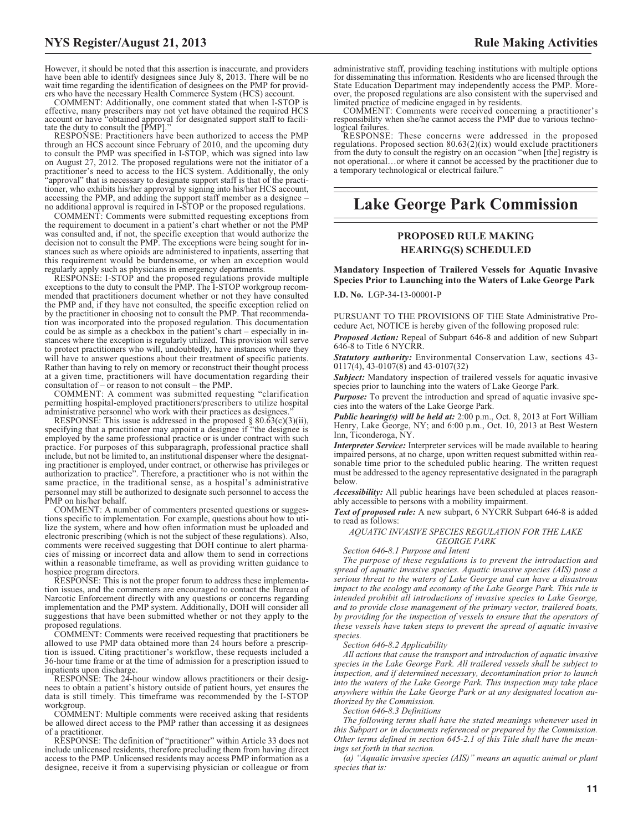However, it should be noted that this assertion is inaccurate, and providers have been able to identify designees since July 8, 2013. There will be no wait time regarding the identification of designees on the PMP for providers who have the necessary Health Commerce System (HCS) account.

COMMENT: Additionally, one comment stated that when I-STOP is effective, many prescribers may not yet have obtained the required HCS account or have "obtained approval for designated support staff to facilitate the duty to consult the [PMP]."

RESPONSE: Practitioners have been authorized to access the PMP through an HCS account since February of 2010, and the upcoming duty to consult the PMP was specified in I-STOP, which was signed into law on August 27, 2012. The proposed regulations were not the initiator of a practitioner's need to access to the HCS system. Additionally, the only "approval" that is necessary to designate support staff is that of the practitioner, who exhibits his/her approval by signing into his/her HCS account, accessing the PMP, and adding the support staff member as a designee – no additional approval is required in I-STOP or the proposed regulations.

COMMENT: Comments were submitted requesting exceptions from the requirement to document in a patient's chart whether or not the PMP was consulted and, if not, the specific exception that would authorize the decision not to consult the PMP. The exceptions were being sought for instances such as where opioids are administered to inpatients, asserting that this requirement would be burdensome, or when an exception would regularly apply such as physicians in emergency departments.

RESPONSE: I-STOP and the proposed regulations provide multiple exceptions to the duty to consult the PMP. The I-STOP workgroup recommended that practitioners document whether or not they have consulted the PMP and, if they have not consulted, the specific exception relied on by the practitioner in choosing not to consult the PMP. That recommendation was incorporated into the proposed regulation. This documentation could be as simple as a checkbox in the patient's chart – especially in instances where the exception is regularly utilized. This provision will serve to protect practitioners who will, undoubtedly, have instances where they will have to answer questions about their treatment of specific patients. Rather than having to rely on memory or reconstruct their thought process at a given time, practitioners will have documentation regarding their consultation of – or reason to not consult – the PMP.

COMMENT: A comment was submitted requesting "clarification permitting hospital-employed practitioners/prescribers to utilize hospital administrative personnel who work with their practices as designees.

RESPONSE: This issue is addressed in the proposed  $\S 80.63(c)(3)(ii)$ , specifying that a practitioner may appoint a designee if "the designee is employed by the same professional practice or is under contract with such practice. For purposes of this subparagraph, professional practice shall include, but not be limited to, an institutional dispenser where the designating practitioner is employed, under contract, or otherwise has privileges or authorization to practice". Therefore, a practitioner who is not within the same practice, in the traditional sense, as a hospital's administrative personnel may still be authorized to designate such personnel to access the PMP on his/her behalf.

COMMENT: A number of commenters presented questions or suggestions specific to implementation. For example, questions about how to utilize the system, where and how often information must be uploaded and electronic prescribing (which is not the subject of these regulations). Also, comments were received suggesting that DOH continue to alert pharmacies of missing or incorrect data and allow them to send in corrections within a reasonable timeframe, as well as providing written guidance to hospice program directors.

RESPONSE: This is not the proper forum to address these implementation issues, and the commenters are encouraged to contact the Bureau of Narcotic Enforcement directly with any questions or concerns regarding implementation and the PMP system. Additionally, DOH will consider all suggestions that have been submitted whether or not they apply to the proposed regulations.

COMMENT: Comments were received requesting that practitioners be allowed to use PMP data obtained more than 24 hours before a prescription is issued. Citing practitioner's workflow, these requests included a 36-hour time frame or at the time of admission for a prescription issued to inpatients upon discharge.

RESPONSE: The 24-hour window allows practitioners or their designees to obtain a patient's history outside of patient hours, yet ensures the data is still timely. This timeframe was recommended by the I-STOP workgroup

COMMENT: Multiple comments were received asking that residents be allowed direct access to the PMP rather than accessing it as designees of a practitioner.

RESPONSE: The definition of "practitioner" within Article 33 does not include unlicensed residents, therefore precluding them from having direct access to the PMP. Unlicensed residents may access PMP information as a designee, receive it from a supervising physician or colleague or from

administrative staff, providing teaching institutions with multiple options for disseminating this information. Residents who are licensed through the State Education Department may independently access the PMP. Moreover, the proposed regulations are also consistent with the supervised and

limited practice of medicine engaged in by residents. COMMENT: Comments were received concerning a practitioner's responsibility when she/he cannot access the PMP due to various techno-

logical failures. RESPONSE: These concerns were addressed in the proposed regulations. Proposed section  $80.63(2)(ix)$  would exclude practitioners from the duty to consult the registry on an occasion "when [the] registry is not operational…or where it cannot be accessed by the practitioner due to a temporary technological or electrical failure."

# **Lake George Park Commission**

# **PROPOSED RULE MAKING HEARING(S) SCHEDULED**

**Mandatory Inspection of Trailered Vessels for Aquatic Invasive Species Prior to Launching into the Waters of Lake George Park**

**I.D. No.** LGP-34-13-00001-P

PURSUANT TO THE PROVISIONS OF THE State Administrative Procedure Act, NOTICE is hereby given of the following proposed rule:

*Proposed Action:* Repeal of Subpart 646-8 and addition of new Subpart 646-8 to Title 6 NYCRR.

*Statutory authority:* Environmental Conservation Law, sections 43- 0117(4), 43-0107(8) and 43-0107(32)

*Subject:* Mandatory inspection of trailered vessels for aquatic invasive species prior to launching into the waters of Lake George Park.

*Purpose:* To prevent the introduction and spread of aquatic invasive species into the waters of the Lake George Park.

*Public hearing(s) will be held at:* 2:00 p.m., Oct. 8, 2013 at Fort William Henry, Lake George, NY; and 6:00 p.m., Oct. 10, 2013 at Best Western Inn, Ticonderoga, NY.

*Interpreter Service:* Interpreter services will be made available to hearing impaired persons, at no charge, upon written request submitted within reasonable time prior to the scheduled public hearing. The written request must be addressed to the agency representative designated in the paragraph below.

*Accessibility:* All public hearings have been scheduled at places reasonably accessible to persons with a mobility impairment.

*Text of proposed rule:* A new subpart, 6 NYCRR Subpart 646-8 is added to read as follows:

## *AQUATIC INVASIVE SPECIES REGULATION FOR THE LAKE GEORGE PARK*

*Section 646-8.1 Purpose and Intent*

*The purpose of these regulations is to prevent the introduction and spread of aquatic invasive species. Aquatic invasive species (AIS) pose a serious threat to the waters of Lake George and can have a disastrous impact to the ecology and economy of the Lake George Park. This rule is intended prohibit all introductions of invasive species to Lake George, and to provide close management of the primary vector, trailered boats, by providing for the inspection of vessels to ensure that the operators of these vessels have taken steps to prevent the spread of aquatic invasive species.*

*Section 646-8.2 Applicability*

*All actions that cause the transport and introduction of aquatic invasive species in the Lake George Park. All trailered vessels shall be subject to inspection, and if determined necessary, decontamination prior to launch into the waters of the Lake George Park. This inspection may take place anywhere within the Lake George Park or at any designated location authorized by the Commission.*

*Section 646-8.3 Definitions*

*The following terms shall have the stated meanings whenever used in this Subpart or in documents referenced or prepared by the Commission. Other terms defined in section 645-2.1 of this Title shall have the meanings set forth in that section.*

*(a) "Aquatic invasive species (AIS)" means an aquatic animal or plant species that is:*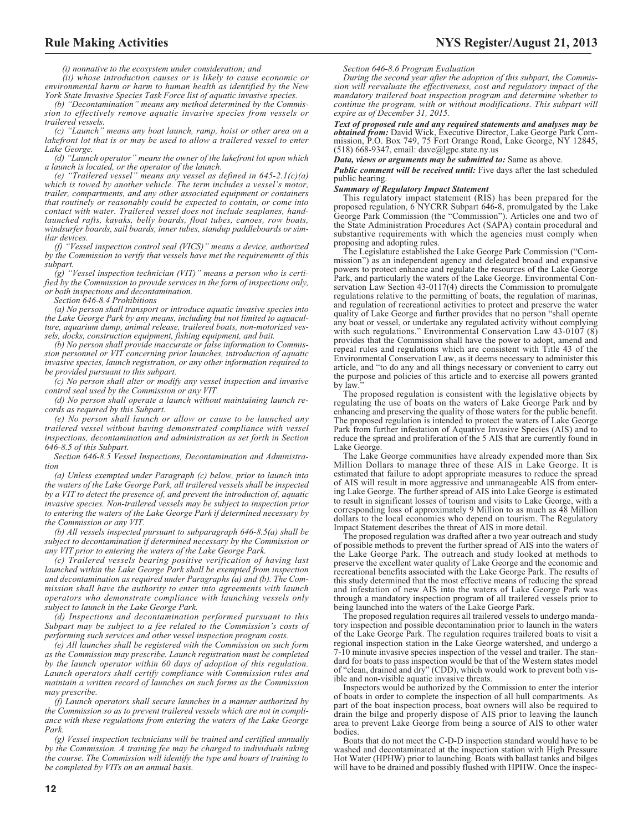*(i) nonnative to the ecosystem under consideration; and*

*(ii) whose introduction causes or is likely to cause economic or environmental harm or harm to human health as identified by the New York State Invasive Species Task Force list of aquatic invasive species.*

*(b) "Decontamination" means any method determined by the Commission to effectively remove aquatic invasive species from vessels or trailered vessels.*

*(c) "Launch" means any boat launch, ramp, hoist or other area on a lakefront lot that is or may be used to allow a trailered vessel to enter Lake George.*

*(d) "Launch operator" means the owner of the lakefront lot upon which a launch is located, or the operator of the launch.*

*(e) "Trailered vessel" means any vessel as defined in 645-2.1(c)(a) which is towed by another vehicle. The term includes a vessel's motor, trailer, compartments, and any other associated equipment or containers that routinely or reasonably could be expected to contain, or come into contact with water. Trailered vessel does not include seaplanes, handlaunched rafts, kayaks, belly boards, float tubes, canoes, row boats, windsurfer boards, sail boards, inner tubes, standup paddleboards or similar devices.*

*(f) "Vessel inspection control seal (VICS)" means a device, authorized by the Commission to verify that vessels have met the requirements of this subpart.*

*(g) "Vessel inspection technician (VIT)" means a person who is certified by the Commission to provide services in the form of inspections only, or both inspections and decontamination.*

*Section 646-8.4 Prohibitions*

*(a) No person shall transport or introduce aquatic invasive species into the Lake George Park by any means, including but not limited to aquaculture, aquarium dump, animal release, trailered boats, non-motorized vessels, docks, construction equipment, fishing equipment, and bait.*

*(b) No person shall provide inaccurate or false information to Commission personnel or VIT concerning prior launches, introduction of aquatic invasive species, launch registration, or any other information required to be provided pursuant to this subpart.*

*(c) No person shall alter or modify any vessel inspection and invasive control seal used by the Commission or any VIT.*

*(d) No person shall operate a launch without maintaining launch records as required by this Subpart.*

*(e) No person shall launch or allow or cause to be launched any trailered vessel without having demonstrated compliance with vessel inspections, decontamination and administration as set forth in Section 646-8.5 of this Subpart.*

*Section 646-8.5 Vessel Inspections, Decontamination and Administration*

*(a) Unless exempted under Paragraph (c) below, prior to launch into the waters of the Lake George Park, all trailered vessels shall be inspected by a VIT to detect the presence of, and prevent the introduction of, aquatic invasive species. Non-trailered vessels may be subject to inspection prior to entering the waters of the Lake George Park if determined necessary by the Commission or any VIT.*

*(b) All vessels inspected pursuant to subparagraph 646-8.5(a) shall be subject to decontamination if determined necessary by the Commission or any VIT prior to entering the waters of the Lake George Park.*

*(c) Trailered vessels bearing positive verification of having last launched within the Lake George Park shall be exempted from inspection and decontamination as required under Paragraphs (a) and (b). The Commission shall have the authority to enter into agreements with launch operators who demonstrate compliance with launching vessels only subject to launch in the Lake George Park.*

*(d) Inspections and decontamination performed pursuant to this Subpart may be subject to a fee related to the Commission's costs of performing such services and other vessel inspection program costs.*

*(e) All launches shall be registered with the Commission on such form as the Commission may prescribe. Launch registration must be completed by the launch operator within 60 days of adoption of this regulation. Launch operators shall certify compliance with Commission rules and maintain a written record of launches on such forms as the Commission may prescribe.*

*(f) Launch operators shall secure launches in a manner authorized by the Commission so as to prevent trailered vessels which are not in compliance with these regulations from entering the waters of the Lake George Park.*

*(g) Vessel inspection technicians will be trained and certified annually by the Commission. A training fee may be charged to individuals taking the course. The Commission will identify the type and hours of training to be completed by VITs on an annual basis.*

*Section 646-8.6 Program Evaluation*

*During the second year after the adoption of this subpart, the Commission will reevaluate the effectiveness, cost and regulatory impact of the mandatory trailered boat inspection program and determine whether to continue the program, with or without modifications. This subpart will expire as of December 31, 2015.*

*Text of proposed rule and any required statements and analyses may be obtained from:* David Wick, Executive Director, Lake George Park Commission, P.O. Box 749, 75 Fort Orange Road, Lake George, NY 12845, (518) 668-9347, email: [dave@lgpc.state.ny.us](mailto: dave@lgpc.state.ny.us)

*Data, views or arguments may be submitted to:* Same as above.

*Public comment will be received until:* Five days after the last scheduled public hearing.

#### *Summary of Regulatory Impact Statement*

This regulatory impact statement (RIS) has been prepared for the proposed regulation, 6 NYCRR Subpart 646-8, promulgated by the Lake George Park Commission (the "Commission"). Articles one and two of the State Administration Procedures Act (SAPA) contain procedural and substantive requirements with which the agencies must comply when proposing and adopting rules.

The Legislature established the Lake George Park Commission ("Commission") as an independent agency and delegated broad and expansive powers to protect enhance and regulate the resources of the Lake George Park, and particularly the waters of the Lake George. Environmental Conservation Law Section 43-0117(4) directs the Commission to promulgate regulations relative to the permitting of boats, the regulation of marinas, and regulation of recreational activities to protect and preserve the water quality of Lake George and further provides that no person "shall operate any boat or vessel, or undertake any regulated activity without complying with such regulations." Environmental Conservation Law 43-0107  $(8)$ provides that the Commission shall have the power to adopt, amend and repeal rules and regulations which are consistent with Title 43 of the Environmental Conservation Law, as it deems necessary to administer this article, and "to do any and all things necessary or convenient to carry out the purpose and policies of this article and to exercise all powers granted by law.

The proposed regulation is consistent with the legislative objects by regulating the use of boats on the waters of Lake George Park and by enhancing and preserving the quality of those waters for the public benefit. The proposed regulation is intended to protect the waters of Lake George Park from further infestation of Aquative Invasive Species (AIS) and to reduce the spread and proliferation of the 5 AIS that are currently found in Lake George.

The Lake George communities have already expended more than Six Million Dollars to manage three of these AIS in Lake George. It is estimated that failure to adopt appropriate measures to reduce the spread of AIS will result in more aggressive and unmanageable AIS from entering Lake George. The further spread of AIS into Lake George is estimated to result in significant losses of tourism and visits to Lake George, with a corresponding loss of approximately 9 Million to as much as 48 Million dollars to the local economies who depend on tourism. The Regulatory Impact Statement describes the threat of AIS in more detail.

The proposed regulation was drafted after a two year outreach and study of possible methods to prevent the further spread of AIS into the waters of the Lake George Park. The outreach and study looked at methods to preserve the excellent water quality of Lake George and the economic and recreational benefits associated with the Lake George Park. The results of this study determined that the most effective means of reducing the spread and infestation of new AIS into the waters of Lake George Park was through a mandatory inspection program of all trailered vessels prior to being launched into the waters of the Lake George Park.

The proposed regulation requires all trailered vessels to undergo mandatory inspection and possible decontamination prior to launch in the waters of the Lake George Park. The regulation requires trailered boats to visit a regional inspection station in the Lake George watershed, and undergo a 7-10 minute invasive species inspection of the vessel and trailer. The standard for boats to pass inspection would be that of the Western states model of "clean, drained and dry" (CDD), which would work to prevent both visible and non-visible aquatic invasive threats.

Inspectors would be authorized by the Commission to enter the interior of boats in order to complete the inspection of all hull compartments. As part of the boat inspection process, boat owners will also be required to drain the bilge and properly dispose of AIS prior to leaving the launch area to prevent Lake George from being a source of AIS to other water bodies.

Boats that do not meet the C-D-D inspection standard would have to be washed and decontaminated at the inspection station with High Pressure Hot Water (HPHW) prior to launching. Boats with ballast tanks and bilges will have to be drained and possibly flushed with HPHW. Once the inspec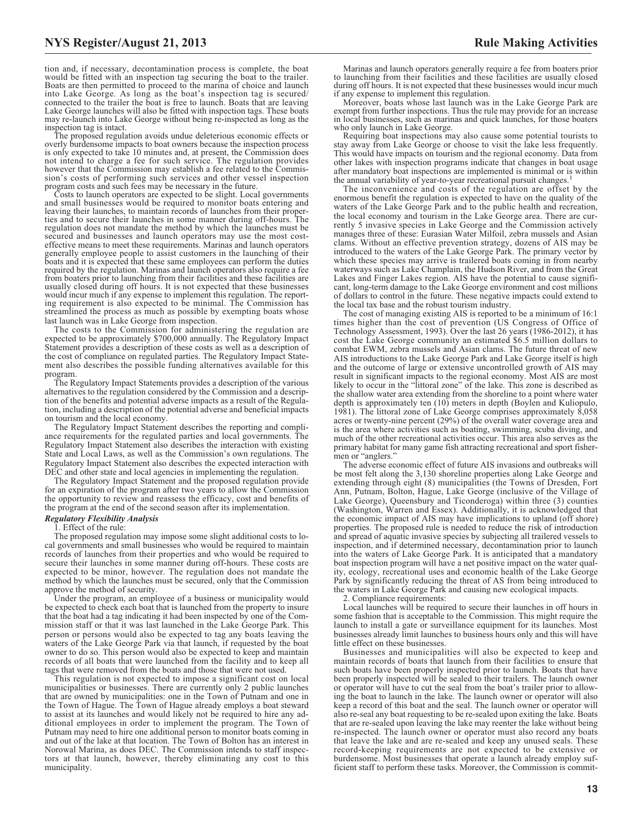tion and, if necessary, decontamination process is complete, the boat would be fitted with an inspection tag securing the boat to the trailer. Boats are then permitted to proceed to the marina of choice and launch into Lake George. As long as the boat's inspection tag is secured/ connected to the trailer the boat is free to launch. Boats that are leaving Lake George launches will also be fitted with inspection tags. These boats may re-launch into Lake George without being re-inspected as long as the inspection tag is intact.

The proposed regulation avoids undue deleterious economic effects or overly burdensome impacts to boat owners because the inspection process is only expected to take 10 minutes and, at present, the Commission does not intend to charge a fee for such service. The regulation provides however that the Commission may establish a fee related to the Commission's costs of performing such services and other vessel inspection program costs and such fees may be necessary in the future.

Costs to launch operators are expected to be slight. Local governments and small businesses would be required to monitor boats entering and leaving their launches, to maintain records of launches from their properties and to secure their launches in some manner during off-hours. The regulation does not mandate the method by which the launches must be secured and businesses and launch operators may use the most costeffective means to meet these requirements. Marinas and launch operators generally employee people to assist customers in the launching of their boats and it is expected that these same employees can perform the duties required by the regulation. Marinas and launch operators also require a fee from boaters prior to launching from their facilities and these facilities are usually closed during off hours. It is not expected that these businesses would incur much if any expense to implement this regulation. The report-ing requirement is also expected to be minimal. The Commission has streamlined the process as much as possible by exempting boats whose last launch was in Lake George from inspection.

The costs to the Commission for administering the regulation are expected to be approximately \$700,000 annually. The Regulatory Impact Statement provides a description of these costs as well as a description of the cost of compliance on regulated parties. The Regulatory Impact Statement also describes the possible funding alternatives available for this program.

The Regulatory Impact Statements provides a description of the various alternatives to the regulation considered by the Commission and a description of the benefits and potential adverse impacts as a result of the Regulation, including a description of the potential adverse and beneficial impacts on tourism and the local economy.

The Regulatory Impact Statement describes the reporting and compliance requirements for the regulated parties and local governments. The Regulatory Impact Statement also describes the interaction with existing State and Local Laws, as well as the Commission's own regulations. The Regulatory Impact Statement also describes the expected interaction with DEC and other state and local agencies in implementing the regulation.

The Regulatory Impact Statement and the proposed regulation provide for an expiration of the program after two years to allow the Commission the opportunity to review and reassess the efficacy, cost and benefits of the program at the end of the second season after its implementation.

#### *Regulatory Flexibility Analysis*

#### . Effect of the rule:

The proposed regulation may impose some slight additional costs to local governments and small businesses who would be required to maintain records of launches from their properties and who would be required to secure their launches in some manner during off-hours. These costs are expected to be minor, however. The regulation does not mandate the method by which the launches must be secured, only that the Commission approve the method of security.

Under the program, an employee of a business or municipality would be expected to check each boat that is launched from the property to insure that the boat had a tag indicating it had been inspected by one of the Commission staff or that it was last launched in the Lake George Park. This person or persons would also be expected to tag any boats leaving the waters of the Lake George Park via that launch, if requested by the boat owner to do so. This person would also be expected to keep and maintain records of all boats that were launched from the facility and to keep all tags that were removed from the boats and those that were not used.

This regulation is not expected to impose a significant cost on local municipalities or businesses. There are currently only 2 public launches that are owned by municipalities: one in the Town of Putnam and one in the Town of Hague. The Town of Hague already employs a boat steward to assist at its launches and would likely not be required to hire any additional employees in order to implement the program. The Town of Putnam may need to hire one additional person to monitor boats coming in and out of the lake at that location. The Town of Bolton has an interest in Norowal Marina, as does DEC. The Commission intends to staff inspectors at that launch, however, thereby eliminating any cost to this municipality.

Marinas and launch operators generally require a fee from boaters prior to launching from their facilities and these facilities are usually closed during off hours. It is not expected that these businesses would incur much if any expense to implement this regulation.

Moreover, boats whose last launch was in the Lake George Park are exempt from further inspections. Thus the rule may provide for an increase in local businesses, such as marinas and quick launches, for those boaters who only launch in Lake George.

Requiring boat inspections may also cause some potential tourists to stay away from Lake George or choose to visit the lake less frequently. This would have impacts on tourism and the regional economy. Data from other lakes with inspection programs indicate that changes in boat usage after mandatory boat inspections are implemented is minimal or is within the annual variability of year-to-year recreational pursuit changes.

The inconvenience and costs of the regulation are offset by the enormous benefit the regulation is expected to have on the quality of the waters of the Lake George Park and to the public health and recreation, the local economy and tourism in the Lake George area. There are currently 5 invasive species in Lake George and the Commission actively manages three of these: Eurasian Water Milfoil, zebra mussels and Asian clams. Without an effective prevention strategy, dozens of AIS may be introduced to the waters of the Lake George Park. The primary vector by which these species may arrive is trailered boats coming in from nearby waterways such as Lake Champlain, the Hudson River, and from the Great Lakes and Finger Lakes region. AIS have the potential to cause significant, long-term damage to the Lake George environment and cost millions of dollars to control in the future. These negative impacts could extend to the local tax base and the robust tourism industry.

The cost of managing existing AIS is reported to be a minimum of 16:1 times higher than the cost of prevention (US Congress of Office of Technology Assessment, 1993). Over the last 26 years (1986-2012), it has cost the Lake George community an estimated \$6.5 million dollars to combat EWM, zebra mussels and Asian clams. The future threat of new AIS introductions to the Lake George Park and Lake George itself is high and the outcome of large or extensive uncontrolled growth of AIS may result in significant impacts to the regional economy. Most AIS are most likely to occur in the "littoral zone" of the lake. This zone is described as the shallow water area extending from the shoreline to a point where water depth is approximately ten (10) meters in depth (Boylen and Kuliopulo, 1981). The littoral zone of Lake George comprises approximately 8,058 acres or twenty-nine percent (29%) of the overall water coverage area and is the area where activities such as boating, swimming, scuba diving, and much of the other recreational activities occur. This area also serves as the primary habitat for many game fish attracting recreational and sport fishermen or "anglers."

The adverse economic effect of future AIS invasions and outbreaks will be most felt along the 3,130 shoreline properties along Lake George and extending through eight (8) municipalities (the Towns of Dresden, Fort Ann, Putnam, Bolton, Hague, Lake George (inclusive of the Village of Lake George), Queensbury and Ticonderoga) within three (3) counties (Washington, Warren and Essex). Additionally, it is acknowledged that the economic impact of AIS may have implications to upland (off shore) properties. The proposed rule is needed to reduce the risk of introduction and spread of aquatic invasive species by subjecting all trailered vessels to inspection, and if determined necessary, decontamination prior to launch into the waters of Lake George Park. It is anticipated that a mandatory boat inspection program will have a net positive impact on the water quality, ecology, recreational uses and economic health of the Lake George Park by significantly reducing the threat of AS from being introduced to the waters in Lake George Park and causing new ecological impacts.

2. Compliance requirements:

Local launches will be required to secure their launches in off hours in some fashion that is acceptable to the Commission. This might require the launch to install a gate or surveillance equipment for its launches. Most businesses already limit launches to business hours only and this will have little effect on these businesses.

Businesses and municipalities will also be expected to keep and maintain records of boats that launch from their facilities to ensure that such boats have been properly inspected prior to launch. Boats that have been properly inspected will be sealed to their trailers. The launch owner or operator will have to cut the seal from the boat's trailer prior to allowing the boat to launch in the lake. The launch owner or operator will also keep a record of this boat and the seal. The launch owner or operator will also re-seal any boat requesting to be re-sealed upon exiting the lake. Boats that are re-sealed upon leaving the lake may reenter the lake without being re-inspected. The launch owner or operator must also record any boats that leave the lake and are re-sealed and keep any unused seals. These record-keeping requirements are not expected to be extensive or burdensome. Most businesses that operate a launch already employ sufficient staff to perform these tasks. Moreover, the Commission is commit-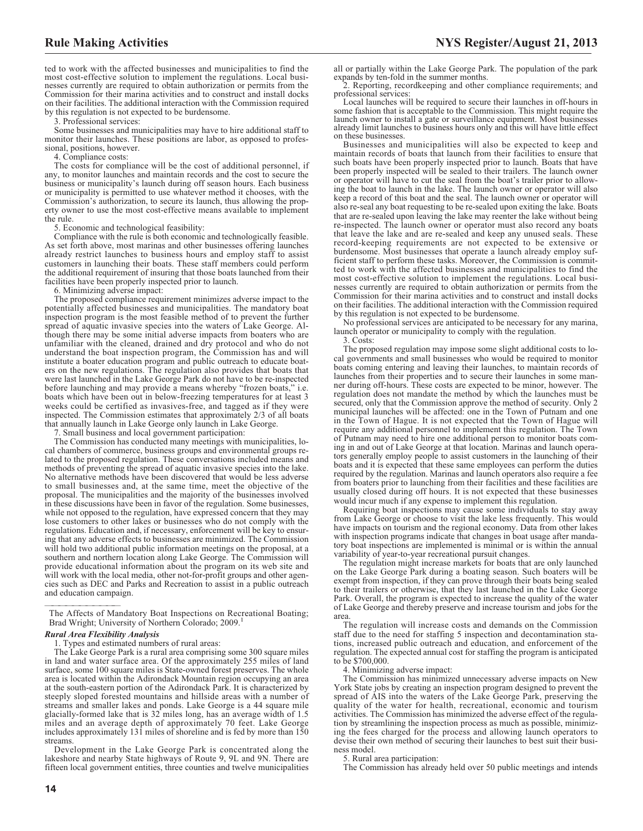all or partially within the Lake George Park. The population of the park expands by ten-fold in the summer months.

2. Reporting, recordkeeping and other compliance requirements; and professional services:

Local launches will be required to secure their launches in off-hours in some fashion that is acceptable to the Commission. This might require the launch owner to install a gate or surveillance equipment. Most businesses already limit launches to business hours only and this will have little effect on these businesses.

Businesses and municipalities will also be expected to keep and maintain records of boats that launch from their facilities to ensure that such boats have been properly inspected prior to launch. Boats that have been properly inspected will be sealed to their trailers. The launch owner or operator will have to cut the seal from the boat's trailer prior to allowing the boat to launch in the lake. The launch owner or operator will also keep a record of this boat and the seal. The launch owner or operator will also re-seal any boat requesting to be re-sealed upon exiting the lake. Boats that are re-sealed upon leaving the lake may reenter the lake without being re-inspected. The launch owner or operator must also record any boats that leave the lake and are re-sealed and keep any unused seals. These record-keeping requirements are not expected to be extensive or burdensome. Most businesses that operate a launch already employ sufficient staff to perform these tasks. Moreover, the Commission is committed to work with the affected businesses and municipalities to find the most cost-effective solution to implement the regulations. Local businesses currently are required to obtain authorization or permits from the Commission for their marina activities and to construct and install docks on their facilities. The additional interaction with the Commission required by this regulation is not expected to be burdensome.

No professional services are anticipated to be necessary for any marina, launch operator or municipality to comply with the regulation. 3. Costs:

The proposed regulation may impose some slight additional costs to local governments and small businesses who would be required to monitor boats coming entering and leaving their launches, to maintain records of launches from their properties and to secure their launches in some manner during off-hours. These costs are expected to be minor, however. The regulation does not mandate the method by which the launches must be secured, only that the Commission approve the method of security. Only 2 municipal launches will be affected: one in the Town of Putnam and one in the Town of Hague. It is not expected that the Town of Hague will require any additional personnel to implement this regulation. The Town of Putnam may need to hire one additional person to monitor boats coming in and out of Lake George at that location. Marinas and launch operators generally employ people to assist customers in the launching of their boats and it is expected that these same employees can perform the duties required by the regulation. Marinas and launch operators also require a fee from boaters prior to launching from their facilities and these facilities are usually closed during off hours. It is not expected that these businesses would incur much if any expense to implement this regulation.

Requiring boat inspections may cause some individuals to stay away from Lake George or choose to visit the lake less frequently. This would have impacts on tourism and the regional economy. Data from other lakes with inspection programs indicate that changes in boat usage after mandatory boat inspections are implemented is minimal or is within the annual variability of year-to-year recreational pursuit changes.

The regulation might increase markets for boats that are only launched on the Lake George Park during a boating season. Such boaters will be exempt from inspection, if they can prove through their boats being sealed to their trailers or otherwise, that they last launched in the Lake George Park. Overall, the program is expected to increase the quality of the water of Lake George and thereby preserve and increase tourism and jobs for the area.

The regulation will increase costs and demands on the Commission staff due to the need for staffing 5 inspection and decontamination stations, increased public outreach and education, and enforcement of the regulation. The expected annual cost for staffing the program is anticipated to be \$700,000.

4. Minimizing adverse impact:

The Commission has minimized unnecessary adverse impacts on New York State jobs by creating an inspection program designed to prevent the spread of AIS into the waters of the Lake George Park, preserving the quality of the water for health, recreational, economic and tourism activities. The Commission has minimized the adverse effect of the regulation by streamlining the inspection process as much as possible, minimizing the fees charged for the process and allowing launch operators to devise their own method of securing their launches to best suit their business model.

5. Rural area participation:

The Commission has already held over 50 public meetings and intends

ted to work with the affected businesses and municipalities to find the most cost-effective solution to implement the regulations. Local businesses currently are required to obtain authorization or permits from the Commission for their marina activities and to construct and install docks on their facilities. The additional interaction with the Commission required by this regulation is not expected to be burdensome.

3. Professional services:

Some businesses and municipalities may have to hire additional staff to monitor their launches. These positions are labor, as opposed to professional, positions, however.

4. Compliance costs:

The costs for compliance will be the cost of additional personnel, if any, to monitor launches and maintain records and the cost to secure the business or municipality's launch during off season hours. Each business or municipality is permitted to use whatever method it chooses, with the Commission's authorization, to secure its launch, thus allowing the property owner to use the most cost-effective means available to implement the rule.

5. Economic and technological feasibility:

Compliance with the rule is both economic and technologically feasible. As set forth above, most marinas and other businesses offering launches already restrict launches to business hours and employ staff to assist customers in launching their boats. These staff members could perform the additional requirement of insuring that those boats launched from their facilities have been properly inspected prior to launch.

6. Minimizing adverse impact:

The proposed compliance requirement minimizes adverse impact to the potentially affected businesses and municipalities. The mandatory boat inspection program is the most feasible method of to prevent the further spread of aquatic invasive species into the waters of Lake George. Although there may be some initial adverse impacts from boaters who are unfamiliar with the cleaned, drained and dry protocol and who do not understand the boat inspection program, the Commission has and will institute a boater education program and public outreach to educate boaters on the new regulations. The regulation also provides that boats that were last launched in the Lake George Park do not have to be re-inspected before launching and may provide a means whereby "frozen boats," i.e. boats which have been out in below-freezing temperatures for at least 3 weeks could be certified as invasives-free, and tagged as if they were inspected. The Commission estimates that approximately 2/3 of all boats that annually launch in Lake George only launch in Lake George.

7. Small business and local government participation:

The Commission has conducted many meetings with municipalities, local chambers of commerce, business groups and environmental groups related to the proposed regulation. These conversations included means and methods of preventing the spread of aquatic invasive species into the lake. No alternative methods have been discovered that would be less adverse to small businesses and, at the same time, meet the objective of the proposal. The municipalities and the majority of the businesses involved in these discussions have been in favor of the regulation. Some businesses, while not opposed to the regulation, have expressed concern that they may lose customers to other lakes or businesses who do not comply with the regulations. Education and, if necessary, enforcement will be key to ensuring that any adverse effects to businesses are minimized. The Commission will hold two additional public information meetings on the proposal, at a southern and northern location along Lake George. The Commission will provide educational information about the program on its web site and will work with the local media, other not-for-profit groups and other agencies such as DEC and Parks and Recreation to assist in a public outreach and education campaign.

#### *Rural Area Flexibility Analysis*

1. Types and estimated numbers of rural areas:

The Lake George Park is a rural area comprising some 300 square miles in land and water surface area. Of the approximately 255 miles of land surface, some 100 square miles is State-owned forest preserves. The whole area is located within the Adirondack Mountain region occupying an area at the south-eastern portion of the Adirondack Park. It is characterized by steeply sloped forested mountains and hillside areas with a number of streams and smaller lakes and ponds. Lake George is a 44 square mile glacially-formed lake that is 32 miles long, has an average width of 1.5 miles and an average depth of approximately 70 feet. Lake George includes approximately 131 miles of shoreline and is fed by more than 150 streams.

Development in the Lake George Park is concentrated along the lakeshore and nearby State highways of Route 9, 9L and 9N. There are fifteen local government entities, three counties and twelve municipalities

The Affects of Mandatory Boat Inspections on Recreational Boating; Brad Wright; University of Northern Colorado; 2009.<sup>1</sup>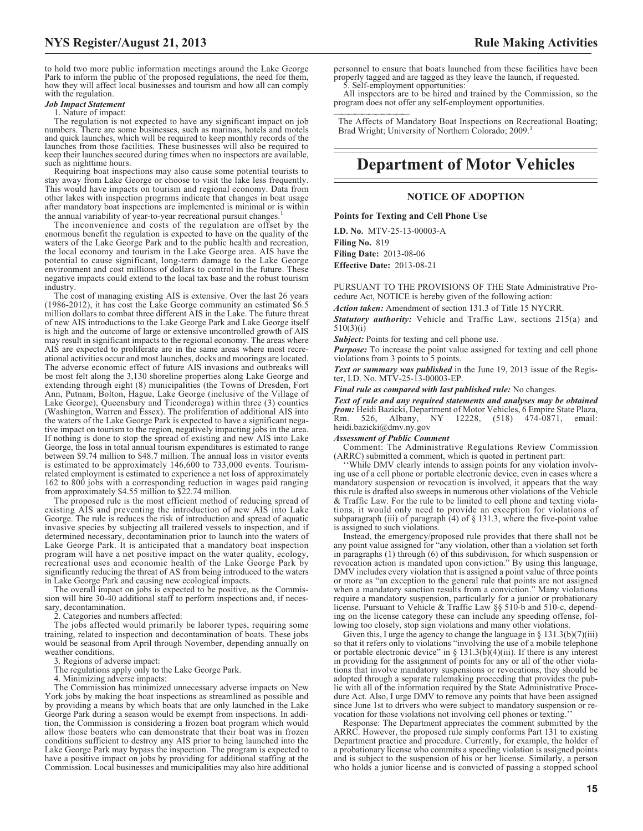to hold two more public information meetings around the Lake George Park to inform the public of the proposed regulations, the need for them, how they will affect local businesses and tourism and how all can comply with the regulation.

# *Job Impact Statement*

#### 1. Nature of impact:

The regulation is not expected to have any significant impact on job numbers. There are some businesses, such as marinas, hotels and motels and quick launches, which will be required to keep monthly records of the launches from those facilities. These businesses will also be required to keep their launches secured during times when no inspectors are available, such as nighttime hours.

Requiring boat inspections may also cause some potential tourists to stay away from Lake George or choose to visit the lake less frequently. This would have impacts on tourism and regional economy. Data from other lakes with inspection programs indicate that changes in boat usage after mandatory boat inspections are implemented is minimal or is within the annual variability of year-to-year recreational pursuit changes.<sup>1</sup>

The inconvenience and costs of the regulation are offset by the enormous benefit the regulation is expected to have on the quality of the waters of the Lake George Park and to the public health and recreation, the local economy and tourism in the Lake George area. AIS have the potential to cause significant, long-term damage to the Lake George environment and cost millions of dollars to control in the future. These negative impacts could extend to the local tax base and the robust tourism industry.

The cost of managing existing AIS is extensive. Over the last 26 years (1986-2012), it has cost the Lake George community an estimated \$6.5 million dollars to combat three different AIS in the Lake. The future threat of new AIS introductions to the Lake George Park and Lake George itself is high and the outcome of large or extensive uncontrolled growth of AIS may result in significant impacts to the regional economy. The areas where AIS are expected to proliferate are in the same areas where most recreational activities occur and most launches, docks and moorings are located. The adverse economic effect of future AIS invasions and outbreaks will be most felt along the 3,130 shoreline properties along Lake George and extending through eight (8) municipalities (the Towns of Dresden, Fort Ann, Putnam, Bolton, Hague, Lake George (inclusive of the Village of Lake George), Queensbury and Ticonderoga) within three (3) counties (Washington, Warren and Essex). The proliferation of additional AIS into the waters of the Lake George Park is expected to have a significant negative impact on tourism to the region, negatively impacting jobs in the area. If nothing is done to stop the spread of existing and new AIS into Lake George, the loss in total annual tourism expenditures is estimated to range between \$9.74 million to \$48.7 million. The annual loss in visitor events is estimated to be approximately 146,600 to 733,000 events. Tourismrelated employment is estimated to experience a net loss of approximately 162 to 800 jobs with a corresponding reduction in wages paid ranging from approximately \$4.55 million to \$22.74 million.

The proposed rule is the most efficient method of reducing spread of existing AIS and preventing the introduction of new AIS into Lake George. The rule is reduces the risk of introduction and spread of aquatic invasive species by subjecting all trailered vessels to inspection, and if determined necessary, decontamination prior to launch into the waters of Lake George Park. It is anticipated that a mandatory boat inspection program will have a net positive impact on the water quality, ecology, recreational uses and economic health of the Lake George Park by significantly reducing the threat of AS from being introduced to the waters in Lake George Park and causing new ecological impacts.

The overall impact on jobs is expected to be positive, as the Commission will hire 30-40 additional staff to perform inspections and, if necessary, decontamination.

Categories and numbers affected:

The jobs affected would primarily be laborer types, requiring some training, related to inspection and decontamination of boats. These jobs would be seasonal from April through November, depending annually on weather conditions.

3. Regions of adverse impact:

The regulations apply only to the Lake George Park.

4. Minimizing adverse impacts:

The Commission has minimized unnecessary adverse impacts on New York jobs by making the boat inspections as streamlined as possible and by providing a means by which boats that are only launched in the Lake George Park during a season would be exempt from inspections. In addition, the Commission is considering a frozen boat program which would allow those boaters who can demonstrate that their boat was in frozen conditions sufficient to destroy any AIS prior to being launched into the Lake George Park may bypass the inspection. The program is expected to have a positive impact on jobs by providing for additional staffing at the Commission. Local businesses and municipalities may also hire additional

personnel to ensure that boats launched from these facilities have been properly tagged and are tagged as they leave the launch, if requested. 5. Self-employment opportunities:

All inspectors are to be hired and trained by the Commission, so the program does not offer any self-employment opportunities.

The Affects of Mandatory Boat Inspections on Recreational Boating; Brad Wright; University of Northern Colorado; 2009.<sup>1</sup>

# **Department of Motor Vehicles**

# **NOTICE OF ADOPTION**

# **Points for Texting and Cell Phone Use**

**I.D. No.** MTV-25-13-00003-A **Filing No.** 819 **Filing Date:** 2013-08-06 **Effective Date:** 2013-08-21

PURSUANT TO THE PROVISIONS OF THE State Administrative Procedure Act, NOTICE is hereby given of the following action:

*Action taken:* Amendment of section 131.3 of Title 15 NYCRR.

*Statutory authority:* Vehicle and Traffic Law, sections 215(a) and 510(3)(i)

**Subject:** Points for texting and cell phone use.

*Purpose:* To increase the point value assigned for texting and cell phone violations from 3 points to 5 points.

*Text or summary was published* in the June 19, 2013 issue of the Register, I.D. No. MTV-25-13-00003-EP.

*Final rule as compared with last published rule:* No changes.

*Text of rule and any required statements and analyses may be obtained from:* Heidi Bazicki, Department of Motor Vehicles, 6 Empire State Plaza, Rm. 526, Albany, NY 12228, (518) 474-0871, email: heidi.bazicki@dmv.ny.gov

# *Assessment of Public Comment*

Comment: The Administrative Regulations Review Commission (ARRC) submitted a comment, which is quoted in pertinent part:

''While DMV clearly intends to assign points for any violation involving use of a cell phone or portable electronic device, even in cases where a mandatory suspension or revocation is involved, it appears that the way this rule is drafted also sweeps in numerous other violations of the Vehicle & Traffic Law. For the rule to be limited to cell phone and texting violations, it would only need to provide an exception for violations of subparagraph (iii) of paragraph  $(4)$  of  $\S$  131.3, where the five-point value is assigned to such violations.

Instead, the emergency/proposed rule provides that there shall not be any point value assigned for "any violation, other than a violation set forth in paragraphs (1) through (6) of this subdivision, for which suspension or revocation action is mandated upon conviction." By using this language, DMV includes every violation that is assigned a point value of three points or more as "an exception to the general rule that points are not assigned when a mandatory sanction results from a conviction." Many violations require a mandatory suspension, particularly for a junior or probationary license. Pursuant to Vehicle & Traffic Law §§ 510-b and 510-c, depending on the license category these can include any speeding offense, following too closely, stop sign violations and many other violations.

Given this, I urge the agency to change the language in  $\S 131.3(b)(7)(iii)$ so that it refers only to violations "involving the use of a mobile telephone or portable electronic device" in  $\S 131.3(b)(4)(iii)$ . If there is any interest in providing for the assignment of points for any or all of the other violations that involve mandatory suspensions or revocations, they should be adopted through a separate rulemaking proceeding that provides the public with all of the information required by the State Administrative Procedure Act. Also, I urge DMV to remove any points that have been assigned since June 1st to drivers who were subject to mandatory suspension or revocation for those violations not involving cell phones or texting.

Response: The Department appreciates the comment submitted by the ARRC. However, the proposed rule simply conforms Part 131 to existing Department practice and procedure. Currently, for example, the holder of a probationary license who commits a speeding violation is assigned points and is subject to the suspension of his or her license. Similarly, a person who holds a junior license and is convicted of passing a stopped school